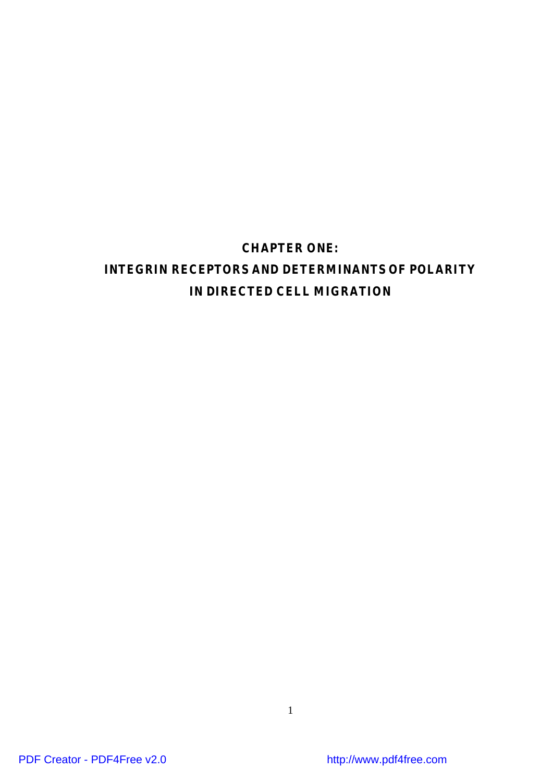# **CHAPTER ONE:**

# **INTEGRIN RECEPTORS AND DETERMINANTS OF POLARITY IN DIRECTED CELL MIGRATION**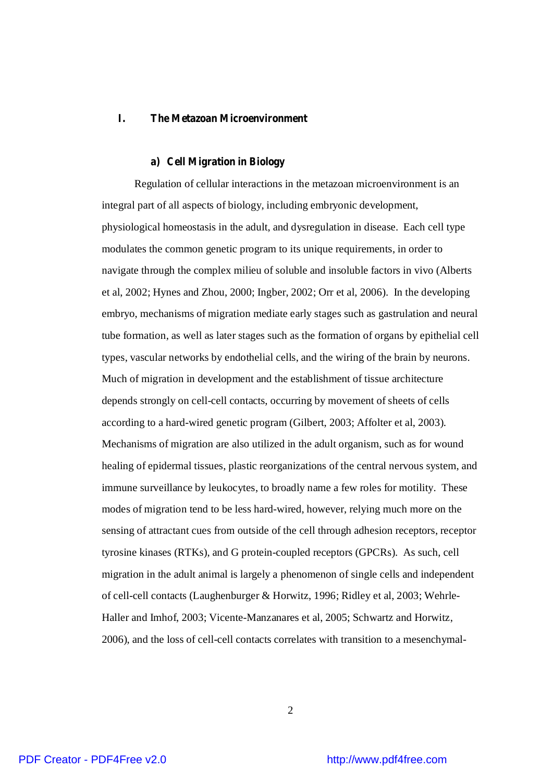## **I. The Metazoan Microenvironment**

#### **a) Cell Migration in Biology**

Regulation of cellular interactions in the metazoan microenvironment is an integral part of all aspects of biology, including embryonic development, physiological homeostasis in the adult, and dysregulation in disease. Each cell type modulates the common genetic program to its unique requirements, in order to navigate through the complex milieu of soluble and insoluble factors in vivo (Alberts et al, 2002; Hynes and Zhou, 2000; Ingber, 2002; Orr et al, 2006). In the developing embryo, mechanisms of migration mediate early stages such as gastrulation and neural tube formation, as well as later stages such as the formation of organs by epithelial cell types, vascular networks by endothelial cells, and the wiring of the brain by neurons. Much of migration in development and the establishment of tissue architecture depends strongly on cell-cell contacts, occurring by movement of sheets of cells according to a hard-wired genetic program (Gilbert, 2003; Affolter et al, 2003). Mechanisms of migration are also utilized in the adult organism, such as for wound healing of epidermal tissues, plastic reorganizations of the central nervous system, and immune surveillance by leukocytes, to broadly name a few roles for motility. These modes of migration tend to be less hard-wired, however, relying much more on the sensing of attractant cues from outside of the cell through adhesion receptors, receptor tyrosine kinases (RTKs), and G protein-coupled receptors (GPCRs). As such, cell migration in the adult animal is largely a phenomenon of single cells and independent of cell-cell contacts (Laughenburger & Horwitz, 1996; Ridley et al, 2003; Wehrle-Haller and Imhof, 2003; Vicente-Manzanares et al, 2005; Schwartz and Horwitz, 2006), and the loss of cell-cell contacts correlates with transition to a mesenchymal-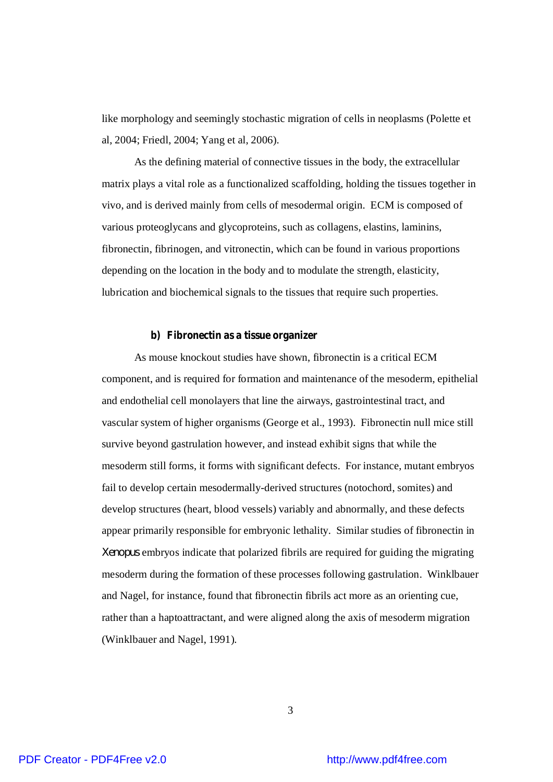like morphology and seemingly stochastic migration of cells in neoplasms (Polette et al, 2004; Friedl, 2004; Yang et al, 2006).

As the defining material of connective tissues in the body, the extracellular matrix plays a vital role as a functionalized scaffolding, holding the tissues together in vivo, and is derived mainly from cells of mesodermal origin. ECM is composed of various proteoglycans and glycoproteins, such as collagens, elastins, laminins, fibronectin, fibrinogen, and vitronectin, which can be found in various proportions depending on the location in the body and to modulate the strength, elasticity, lubrication and biochemical signals to the tissues that require such properties.

#### **b) Fibronectin as a tissue organizer**

As mouse knockout studies have shown, fibronectin is a critical ECM component, and is required for formation and maintenance of the mesoderm, epithelial and endothelial cell monolayers that line the airways, gastrointestinal tract, and vascular system of higher organisms (George et al., 1993). Fibronectin null mice still survive beyond gastrulation however, and instead exhibit signs that while the mesoderm still forms, it forms with significant defects. For instance, mutant embryos fail to develop certain mesodermally-derived structures (notochord, somites) and develop structures (heart, blood vessels) variably and abnormally, and these defects appear primarily responsible for embryonic lethality. Similar studies of fibronectin in *Xenopus* embryos indicate that polarized fibrils are required for guiding the migrating mesoderm during the formation of these processes following gastrulation. Winklbauer and Nagel, for instance, found that fibronectin fibrils act more as an orienting cue, rather than a haptoattractant, and were aligned along the axis of mesoderm migration (Winklbauer and Nagel, 1991).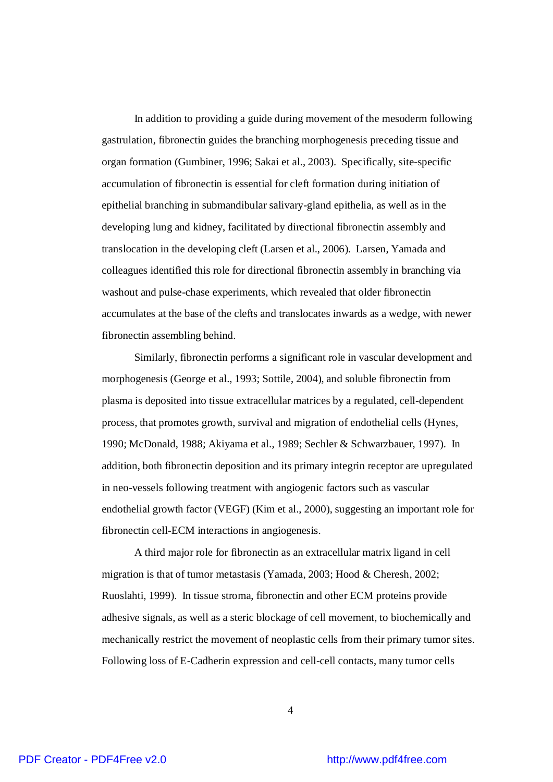In addition to providing a guide during movement of the mesoderm following gastrulation, fibronectin guides the branching morphogenesis preceding tissue and organ formation (Gumbiner, 1996; Sakai et al., 2003). Specifically, site-specific accumulation of fibronectin is essential for cleft formation during initiation of epithelial branching in submandibular salivary-gland epithelia, as well as in the developing lung and kidney, facilitated by directional fibronectin assembly and translocation in the developing cleft (Larsen et al., 2006). Larsen, Yamada and colleagues identified this role for directional fibronectin assembly in branching via washout and pulse-chase experiments, which revealed that older fibronectin accumulates at the base of the clefts and translocates inwards as a wedge, with newer fibronectin assembling behind.

Similarly, fibronectin performs a significant role in vascular development and morphogenesis (George et al., 1993; Sottile, 2004), and soluble fibronectin from plasma is deposited into tissue extracellular matrices by a regulated, cell-dependent process, that promotes growth, survival and migration of endothelial cells (Hynes, 1990; McDonald, 1988; Akiyama et al., 1989; Sechler & Schwarzbauer, 1997). In addition, both fibronectin deposition and its primary integrin receptor are upregulated in neo-vessels following treatment with angiogenic factors such as vascular endothelial growth factor (VEGF) (Kim et al., 2000), suggesting an important role for fibronectin cell-ECM interactions in angiogenesis.

A third major role for fibronectin as an extracellular matrix ligand in cell migration is that of tumor metastasis (Yamada, 2003; Hood & Cheresh, 2002; Ruoslahti, 1999). In tissue stroma, fibronectin and other ECM proteins provide adhesive signals, as well as a steric blockage of cell movement, to biochemically and mechanically restrict the movement of neoplastic cells from their primary tumor sites. Following loss of E-Cadherin expression and cell-cell contacts, many tumor cells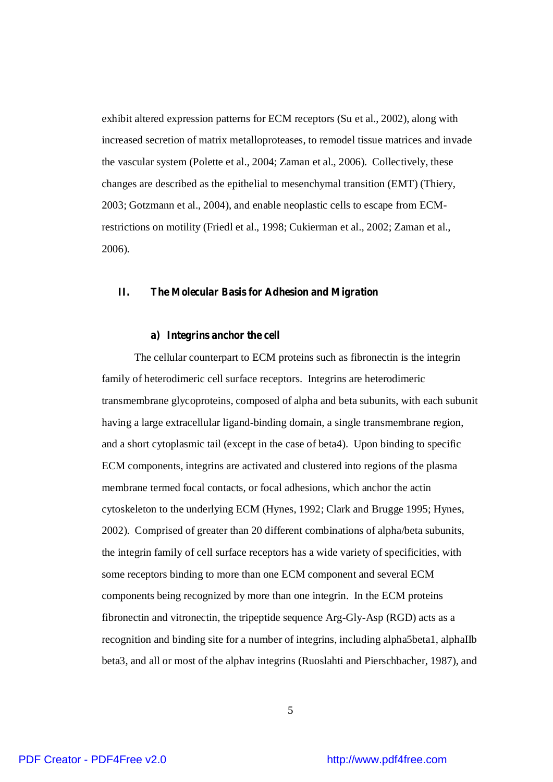exhibit altered expression patterns for ECM receptors (Su et al., 2002), along with increased secretion of matrix metalloproteases, to remodel tissue matrices and invade the vascular system (Polette et al., 2004; Zaman et al., 2006). Collectively, these changes are described as the epithelial to mesenchymal transition (EMT) (Thiery, 2003; Gotzmann et al., 2004), and enable neoplastic cells to escape from ECMrestrictions on motility (Friedl et al., 1998; Cukierman et al., 2002; Zaman et al., 2006).

#### **II. The Molecular Basis for Adhesion and Migration**

#### **a) Integrins anchor the cell**

The cellular counterpart to ECM proteins such as fibronectin is the integrin family of heterodimeric cell surface receptors. Integrins are heterodimeric transmembrane glycoproteins, composed of alpha and beta subunits, with each subunit having a large extracellular ligand-binding domain, a single transmembrane region, and a short cytoplasmic tail (except in the case of beta4). Upon binding to specific ECM components, integrins are activated and clustered into regions of the plasma membrane termed focal contacts, or focal adhesions, which anchor the actin cytoskeleton to the underlying ECM (Hynes, 1992; Clark and Brugge 1995; Hynes, 2002). Comprised of greater than 20 different combinations of alpha/beta subunits, the integrin family of cell surface receptors has a wide variety of specificities, with some receptors binding to more than one ECM component and several ECM components being recognized by more than one integrin. In the ECM proteins fibronectin and vitronectin, the tripeptide sequence Arg-Gly-Asp (RGD) acts as a recognition and binding site for a number of integrins, including alpha5beta1, alphaIIb beta3, and all or most of the alphav integrins (Ruoslahti and Pierschbacher, 1987), and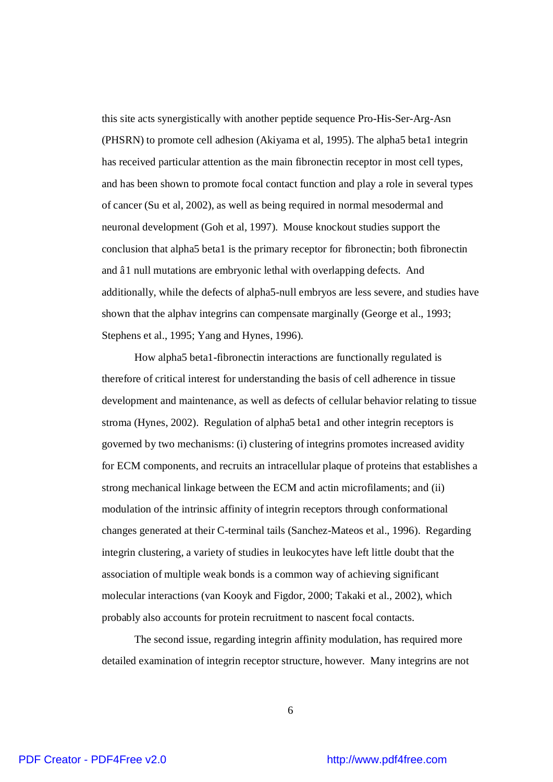this site acts synergistically with another peptide sequence Pro-His-Ser-Arg-Asn (PHSRN) to promote cell adhesion (Akiyama et al, 1995). The alpha5 beta1 integrin has received particular attention as the main fibronectin receptor in most cell types, and has been shown to promote focal contact function and play a role in several types of cancer (Su et al, 2002), as well as being required in normal mesodermal and neuronal development (Goh et al, 1997). Mouse knockout studies support the conclusion that alpha5 beta1 is the primary receptor for fibronectin; both fibronectin and â1 null mutations are embryonic lethal with overlapping defects. And additionally, while the defects of alpha5-null embryos are less severe, and studies have shown that the alphav integrins can compensate marginally (George et al., 1993; Stephens et al., 1995; Yang and Hynes, 1996).

How alpha5 beta1-fibronectin interactions are functionally regulated is therefore of critical interest for understanding the basis of cell adherence in tissue development and maintenance, as well as defects of cellular behavior relating to tissue stroma (Hynes, 2002). Regulation of alpha5 beta1 and other integrin receptors is governed by two mechanisms: (i) clustering of integrins promotes increased avidity for ECM components, and recruits an intracellular plaque of proteins that establishes a strong mechanical linkage between the ECM and actin microfilaments; and (ii) modulation of the intrinsic affinity of integrin receptors through conformational changes generated at their C-terminal tails (Sanchez-Mateos et al., 1996). Regarding integrin clustering, a variety of studies in leukocytes have left little doubt that the association of multiple weak bonds is a common way of achieving significant molecular interactions (van Kooyk and Figdor, 2000; Takaki et al., 2002), which probably also accounts for protein recruitment to nascent focal contacts.

The second issue, regarding integrin affinity modulation, has required more detailed examination of integrin receptor structure, however. Many integrins are not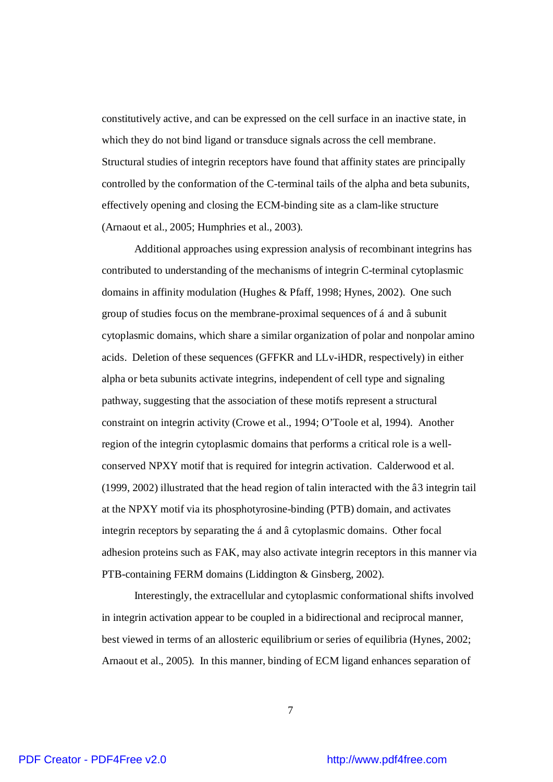constitutively active, and can be expressed on the cell surface in an inactive state, in which they do not bind ligand or transduce signals across the cell membrane. Structural studies of integrin receptors have found that affinity states are principally controlled by the conformation of the C-terminal tails of the alpha and beta subunits, effectively opening and closing the ECM-binding site as a clam-like structure (Arnaout et al., 2005; Humphries et al., 2003).

Additional approaches using expression analysis of recombinant integrins has contributed to understanding of the mechanisms of integrin C-terminal cytoplasmic domains in affinity modulation (Hughes & Pfaff, 1998; Hynes, 2002). One such group of studies focus on the membrane-proximal sequences of á and â subunit cytoplasmic domains, which share a similar organization of polar and nonpolar amino acids. Deletion of these sequences (GFFKR and LLv-iHDR, respectively) in either alpha or beta subunits activate integrins, independent of cell type and signaling pathway, suggesting that the association of these motifs represent a structural constraint on integrin activity (Crowe et al., 1994; O'Toole et al, 1994). Another region of the integrin cytoplasmic domains that performs a critical role is a wellconserved NPXY motif that is required for integrin activation. Calderwood et al. (1999, 2002) illustrated that the head region of talin interacted with the â3 integrin tail at the NPXY motif via its phosphotyrosine-binding (PTB) domain, and activates integrin receptors by separating the á and â cytoplasmic domains. Other focal adhesion proteins such as FAK, may also activate integrin receptors in this manner via PTB-containing FERM domains (Liddington & Ginsberg, 2002).

Interestingly, the extracellular and cytoplasmic conformational shifts involved in integrin activation appear to be coupled in a bidirectional and reciprocal manner, best viewed in terms of an allosteric equilibrium or series of equilibria (Hynes, 2002; Arnaout et al., 2005). In this manner, binding of ECM ligand enhances separation of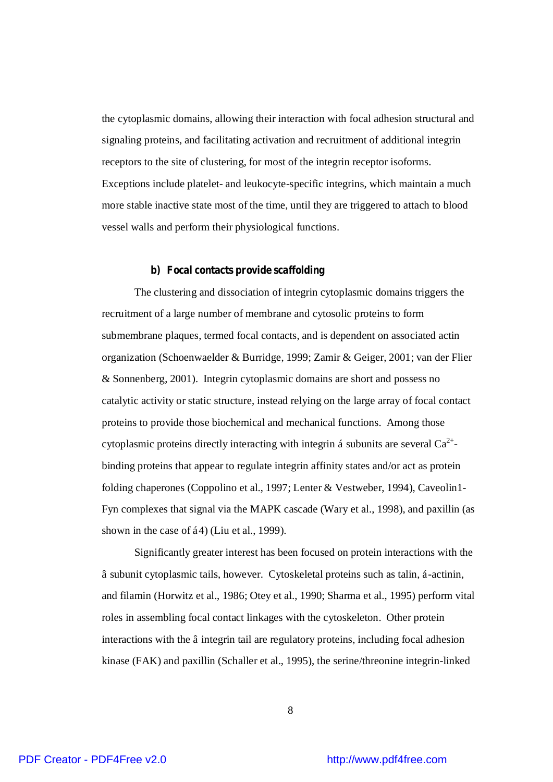the cytoplasmic domains, allowing their interaction with focal adhesion structural and signaling proteins, and facilitating activation and recruitment of additional integrin receptors to the site of clustering, for most of the integrin receptor isoforms. Exceptions include platelet- and leukocyte-specific integrins, which maintain a much more stable inactive state most of the time, until they are triggered to attach to blood vessel walls and perform their physiological functions.

#### **b) Focal contacts provide scaffolding**

The clustering and dissociation of integrin cytoplasmic domains triggers the recruitment of a large number of membrane and cytosolic proteins to form submembrane plaques, termed focal contacts, and is dependent on associated actin organization (Schoenwaelder & Burridge, 1999; Zamir & Geiger, 2001; van der Flier & Sonnenberg, 2001). Integrin cytoplasmic domains are short and possess no catalytic activity or static structure, instead relying on the large array of focal contact proteins to provide those biochemical and mechanical functions. Among those cytoplasmic proteins directly interacting with integrin á subunits are several  $Ca^{2+}$ binding proteins that appear to regulate integrin affinity states and/or act as protein folding chaperones (Coppolino et al., 1997; Lenter & Vestweber, 1994), Caveolin1- Fyn complexes that signal via the MAPK cascade (Wary et al., 1998), and paxillin (as shown in the case of á4) (Liu et al., 1999).

Significantly greater interest has been focused on protein interactions with the â subunit cytoplasmic tails, however. Cytoskeletal proteins such as talin, á-actinin, and filamin (Horwitz et al., 1986; Otey et al., 1990; Sharma et al., 1995) perform vital roles in assembling focal contact linkages with the cytoskeleton. Other protein interactions with the â integrin tail are regulatory proteins, including focal adhesion kinase (FAK) and paxillin (Schaller et al., 1995), the serine/threonine integrin-linked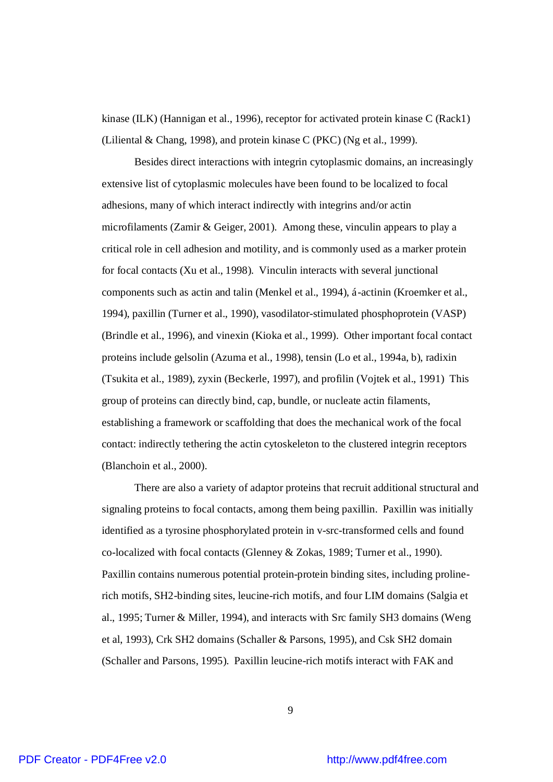kinase (ILK) (Hannigan et al., 1996), receptor for activated protein kinase C (Rack1) (Liliental & Chang, 1998), and protein kinase C (PKC) (Ng et al., 1999).

Besides direct interactions with integrin cytoplasmic domains, an increasingly extensive list of cytoplasmic molecules have been found to be localized to focal adhesions, many of which interact indirectly with integrins and/or actin microfilaments (Zamir & Geiger, 2001). Among these, vinculin appears to play a critical role in cell adhesion and motility, and is commonly used as a marker protein for focal contacts (Xu et al., 1998). Vinculin interacts with several junctional components such as actin and talin (Menkel et al., 1994), á-actinin (Kroemker et al., 1994), paxillin (Turner et al., 1990), vasodilator-stimulated phosphoprotein (VASP) (Brindle et al., 1996), and vinexin (Kioka et al., 1999). Other important focal contact proteins include gelsolin (Azuma et al., 1998), tensin (Lo et al., 1994a, b), radixin (Tsukita et al., 1989), zyxin (Beckerle, 1997), and profilin (Vojtek et al., 1991) This group of proteins can directly bind, cap, bundle, or nucleate actin filaments, establishing a framework or scaffolding that does the mechanical work of the focal contact: indirectly tethering the actin cytoskeleton to the clustered integrin receptors (Blanchoin et al., 2000).

There are also a variety of adaptor proteins that recruit additional structural and signaling proteins to focal contacts, among them being paxillin. Paxillin was initially identified as a tyrosine phosphorylated protein in v-src-transformed cells and found co-localized with focal contacts (Glenney & Zokas, 1989; Turner et al., 1990). Paxillin contains numerous potential protein-protein binding sites, including prolinerich motifs, SH2-binding sites, leucine-rich motifs, and four LIM domains (Salgia et al., 1995; Turner & Miller, 1994), and interacts with Src family SH3 domains (Weng et al, 1993), Crk SH2 domains (Schaller & Parsons, 1995), and Csk SH2 domain (Schaller and Parsons, 1995). Paxillin leucine-rich motifs interact with FAK and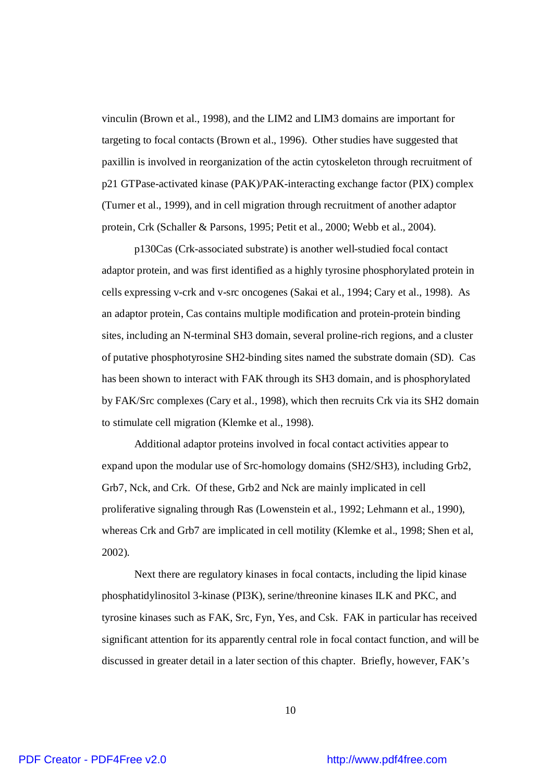vinculin (Brown et al., 1998), and the LIM2 and LIM3 domains are important for targeting to focal contacts (Brown et al., 1996). Other studies have suggested that paxillin is involved in reorganization of the actin cytoskeleton through recruitment of p21 GTPase-activated kinase (PAK)/PAK-interacting exchange factor (PIX) complex (Turner et al., 1999), and in cell migration through recruitment of another adaptor protein, Crk (Schaller & Parsons, 1995; Petit et al., 2000; Webb et al., 2004).

p130Cas (Crk-associated substrate) is another well-studied focal contact adaptor protein, and was first identified as a highly tyrosine phosphorylated protein in cells expressing v-crk and v-src oncogenes (Sakai et al., 1994; Cary et al., 1998). As an adaptor protein, Cas contains multiple modification and protein-protein binding sites, including an N-terminal SH3 domain, several proline-rich regions, and a cluster of putative phosphotyrosine SH2-binding sites named the substrate domain (SD). Cas has been shown to interact with FAK through its SH3 domain, and is phosphorylated by FAK/Src complexes (Cary et al., 1998), which then recruits Crk via its SH2 domain to stimulate cell migration (Klemke et al., 1998).

Additional adaptor proteins involved in focal contact activities appear to expand upon the modular use of Src-homology domains (SH2/SH3), including Grb2, Grb7, Nck, and Crk. Of these, Grb2 and Nck are mainly implicated in cell proliferative signaling through Ras (Lowenstein et al., 1992; Lehmann et al., 1990), whereas Crk and Grb7 are implicated in cell motility (Klemke et al., 1998; Shen et al, 2002).

Next there are regulatory kinases in focal contacts, including the lipid kinase phosphatidylinositol 3-kinase (PI3K), serine/threonine kinases ILK and PKC, and tyrosine kinases such as FAK, Src, Fyn, Yes, and Csk. FAK in particular has received significant attention for its apparently central role in focal contact function, and will be discussed in greater detail in a later section of this chapter. Briefly, however, FAK's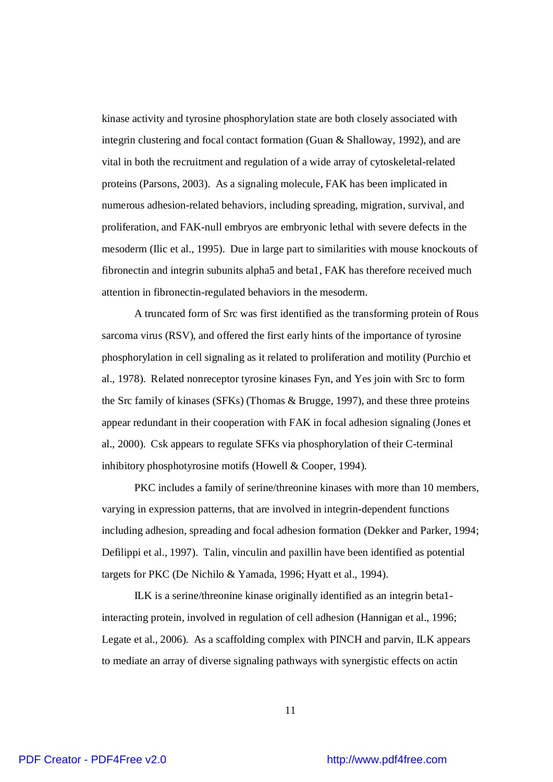kinase activity and tyrosine phosphorylation state are both closely associated with integrin clustering and focal contact formation (Guan & Shalloway, 1992), and are vital in both the recruitment and regulation of a wide array of cytoskeletal-related proteins (Parsons, 2003). As a signaling molecule, FAK has been implicated in numerous adhesion-related behaviors, including spreading, migration, survival, and proliferation, and FAK-null embryos are embryonic lethal with severe defects in the mesoderm (Ilic et al., 1995). Due in large part to similarities with mouse knockouts of fibronectin and integrin subunits alpha5 and beta1, FAK has therefore received much attention in fibronectin-regulated behaviors in the mesoderm.

A truncated form of Src was first identified as the transforming protein of Rous sarcoma virus (RSV), and offered the first early hints of the importance of tyrosine phosphorylation in cell signaling as it related to proliferation and motility (Purchio et al., 1978). Related nonreceptor tyrosine kinases Fyn, and Yes join with Src to form the Src family of kinases (SFKs) (Thomas & Brugge, 1997), and these three proteins appear redundant in their cooperation with FAK in focal adhesion signaling (Jones et al., 2000). Csk appears to regulate SFKs via phosphorylation of their C-terminal inhibitory phosphotyrosine motifs (Howell & Cooper, 1994).

PKC includes a family of serine/threonine kinases with more than 10 members, varying in expression patterns, that are involved in integrin-dependent functions including adhesion, spreading and focal adhesion formation (Dekker and Parker, 1994; Defilippi et al., 1997). Talin, vinculin and paxillin have been identified as potential targets for PKC (De Nichilo & Yamada, 1996; Hyatt et al., 1994).

ILK is a serine/threonine kinase originally identified as an integrin beta1 interacting protein, involved in regulation of cell adhesion (Hannigan et al., 1996; Legate et al., 2006). As a scaffolding complex with PINCH and parvin, ILK appears to mediate an array of diverse signaling pathways with synergistic effects on actin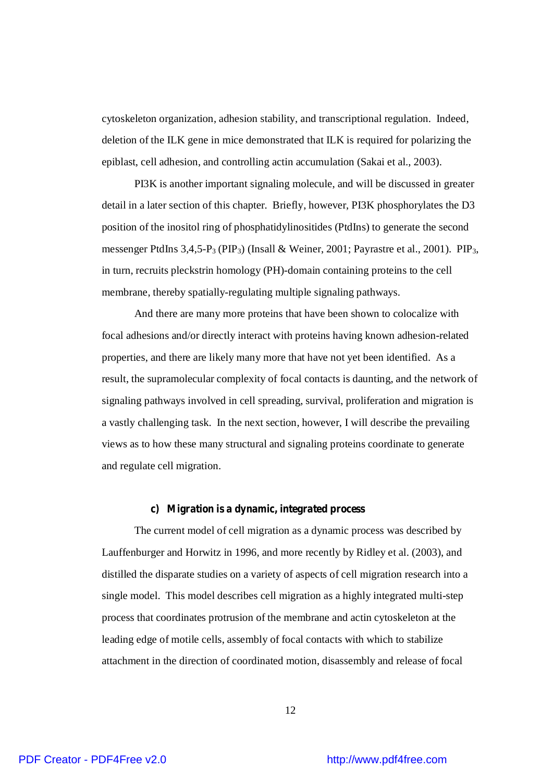cytoskeleton organization, adhesion stability, and transcriptional regulation. Indeed, deletion of the ILK gene in mice demonstrated that ILK is required for polarizing the epiblast, cell adhesion, and controlling actin accumulation (Sakai et al., 2003).

PI3K is another important signaling molecule, and will be discussed in greater detail in a later section of this chapter. Briefly, however, PI3K phosphorylates the D3 position of the inositol ring of phosphatidylinositides (PtdIns) to generate the second messenger PtdIns  $3,4,5-P_3$  (PIP<sub>3</sub>) (Insall & Weiner, 2001; Payrastre et al., 2001). PIP<sub>3</sub>, in turn, recruits pleckstrin homology (PH)-domain containing proteins to the cell membrane, thereby spatially-regulating multiple signaling pathways.

And there are many more proteins that have been shown to colocalize with focal adhesions and/or directly interact with proteins having known adhesion-related properties, and there are likely many more that have not yet been identified. As a result, the supramolecular complexity of focal contacts is daunting, and the network of signaling pathways involved in cell spreading, survival, proliferation and migration is a vastly challenging task. In the next section, however, I will describe the prevailing views as to how these many structural and signaling proteins coordinate to generate and regulate cell migration.

#### **c) Migration is a dynamic, integrated process**

The current model of cell migration as a dynamic process was described by Lauffenburger and Horwitz in 1996, and more recently by Ridley et al. (2003), and distilled the disparate studies on a variety of aspects of cell migration research into a single model. This model describes cell migration as a highly integrated multi-step process that coordinates protrusion of the membrane and actin cytoskeleton at the leading edge of motile cells, assembly of focal contacts with which to stabilize attachment in the direction of coordinated motion, disassembly and release of focal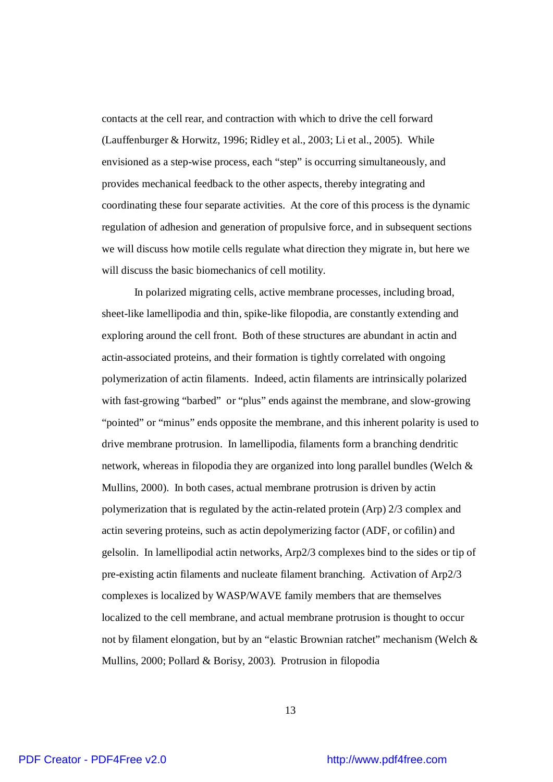contacts at the cell rear, and contraction with which to drive the cell forward (Lauffenburger & Horwitz, 1996; Ridley et al., 2003; Li et al., 2005). While envisioned as a step-wise process, each "step" is occurring simultaneously, and provides mechanical feedback to the other aspects, thereby integrating and coordinating these four separate activities. At the core of this process is the dynamic regulation of adhesion and generation of propulsive force, and in subsequent sections we will discuss how motile cells regulate what direction they migrate in, but here we will discuss the basic biomechanics of cell motility.

In polarized migrating cells, active membrane processes, including broad, sheet-like lamellipodia and thin, spike-like filopodia, are constantly extending and exploring around the cell front. Both of these structures are abundant in actin and actin-associated proteins, and their formation is tightly correlated with ongoing polymerization of actin filaments. Indeed, actin filaments are intrinsically polarized with fast-growing "barbed" or "plus" ends against the membrane, and slow-growing "pointed" or "minus" ends opposite the membrane, and this inherent polarity is used to drive membrane protrusion. In lamellipodia, filaments form a branching dendritic network, whereas in filopodia they are organized into long parallel bundles (Welch & Mullins, 2000). In both cases, actual membrane protrusion is driven by actin polymerization that is regulated by the actin-related protein (Arp) 2/3 complex and actin severing proteins, such as actin depolymerizing factor (ADF, or cofilin) and gelsolin. In lamellipodial actin networks, Arp2/3 complexes bind to the sides or tip of pre-existing actin filaments and nucleate filament branching. Activation of Arp2/3 complexes is localized by WASP/WAVE family members that are themselves localized to the cell membrane, and actual membrane protrusion is thought to occur not by filament elongation, but by an "elastic Brownian ratchet" mechanism (Welch & Mullins, 2000; Pollard & Borisy, 2003). Protrusion in filopodia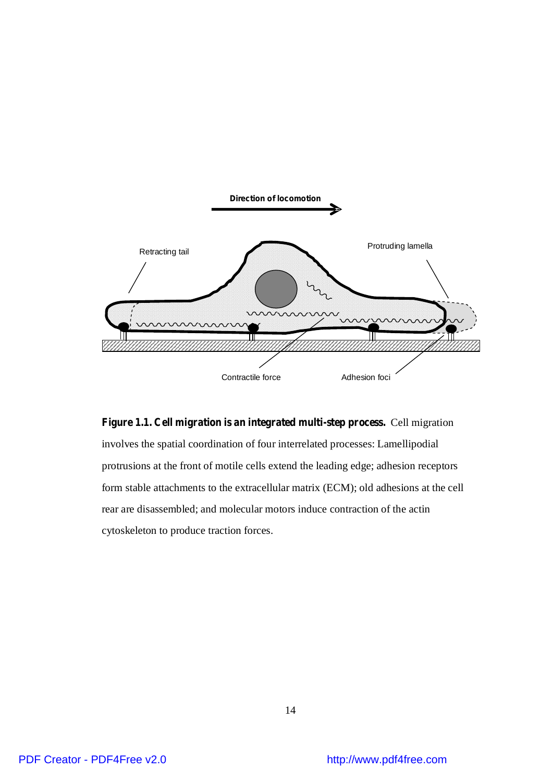

**Figure 1.1. Cell migration is an integrated multi-step process.** Cell migration involves the spatial coordination of four interrelated processes: Lamellipodial protrusions at the front of motile cells extend the leading edge; adhesion receptors form stable attachments to the extracellular matrix (ECM); old adhesions at the cell rear are disassembled; and molecular motors induce contraction of the actin cytoskeleton to produce traction forces.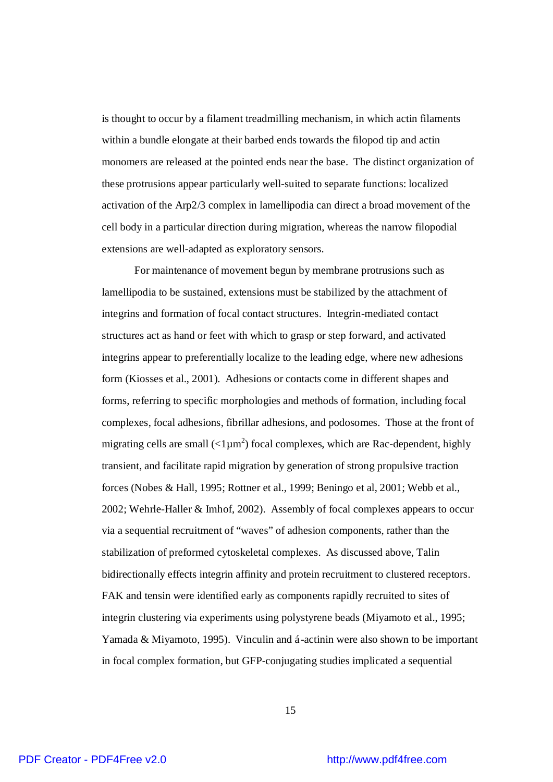is thought to occur by a filament treadmilling mechanism, in which actin filaments within a bundle elongate at their barbed ends towards the filopod tip and actin monomers are released at the pointed ends near the base. The distinct organization of these protrusions appear particularly well-suited to separate functions: localized activation of the Arp2/3 complex in lamellipodia can direct a broad movement of the cell body in a particular direction during migration, whereas the narrow filopodial extensions are well-adapted as exploratory sensors.

For maintenance of movement begun by membrane protrusions such as lamellipodia to be sustained, extensions must be stabilized by the attachment of integrins and formation of focal contact structures. Integrin-mediated contact structures act as hand or feet with which to grasp or step forward, and activated integrins appear to preferentially localize to the leading edge, where new adhesions form (Kiosses et al., 2001). Adhesions or contacts come in different shapes and forms, referring to specific morphologies and methods of formation, including focal complexes, focal adhesions, fibrillar adhesions, and podosomes. Those at the front of migrating cells are small  $\left($ <1 $\mu$ m<sup>2</sup> $\right)$  focal complexes, which are Rac-dependent, highly transient, and facilitate rapid migration by generation of strong propulsive traction forces (Nobes & Hall, 1995; Rottner et al., 1999; Beningo et al, 2001; Webb et al., 2002; Wehrle-Haller & Imhof, 2002). Assembly of focal complexes appears to occur via a sequential recruitment of "waves" of adhesion components, rather than the stabilization of preformed cytoskeletal complexes. As discussed above, Talin bidirectionally effects integrin affinity and protein recruitment to clustered receptors. FAK and tensin were identified early as components rapidly recruited to sites of integrin clustering via experiments using polystyrene beads (Miyamoto et al., 1995; Yamada & Miyamoto, 1995). Vinculin and á-actinin were also shown to be important in focal complex formation, but GFP-conjugating studies implicated a sequential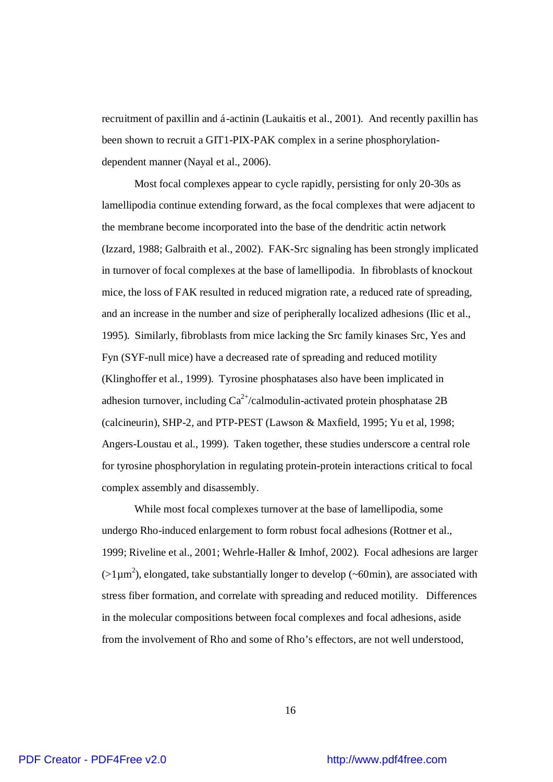recruitment of paxillin and á-actinin (Laukaitis et al., 2001). And recently paxillin has been shown to recruit a GIT1-PIX-PAK complex in a serine phosphorylationdependent manner (Nayal et al., 2006).

Most focal complexes appear to cycle rapidly, persisting for only 20-30s as lamellipodia continue extending forward, as the focal complexes that were adjacent to the membrane become incorporated into the base of the dendritic actin network (Izzard, 1988; Galbraith et al., 2002). FAK-Src signaling has been strongly implicated in turnover of focal complexes at the base of lamellipodia. In fibroblasts of knockout mice, the loss of FAK resulted in reduced migration rate, a reduced rate of spreading, and an increase in the number and size of peripherally localized adhesions (Ilic et al., 1995). Similarly, fibroblasts from mice lacking the Src family kinases Src, Yes and Fyn (SYF-null mice) have a decreased rate of spreading and reduced motility (Klinghoffer et al., 1999). Tyrosine phosphatases also have been implicated in adhesion turnover, including  $Ca^{2+}/c$ almodulin-activated protein phosphatase 2B (calcineurin), SHP-2, and PTP-PEST (Lawson & Maxfield, 1995; Yu et al, 1998; Angers-Loustau et al., 1999). Taken together, these studies underscore a central role for tyrosine phosphorylation in regulating protein-protein interactions critical to focal complex assembly and disassembly.

While most focal complexes turnover at the base of lamellipodia, some undergo Rho-induced enlargement to form robust focal adhesions (Rottner et al., 1999; Riveline et al., 2001; Wehrle-Haller & Imhof, 2002). Focal adhesions are larger  $(>1 \mu m^2)$ , elongated, take substantially longer to develop (~60min), are associated with stress fiber formation, and correlate with spreading and reduced motility. Differences in the molecular compositions between focal complexes and focal adhesions, aside from the involvement of Rho and some of Rho's effectors, are not well understood,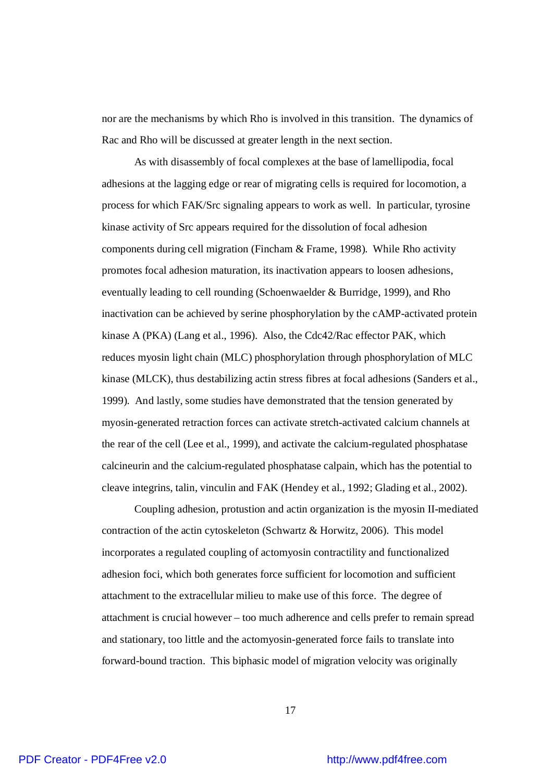nor are the mechanisms by which Rho is involved in this transition. The dynamics of Rac and Rho will be discussed at greater length in the next section.

As with disassembly of focal complexes at the base of lamellipodia, focal adhesions at the lagging edge or rear of migrating cells is required for locomotion, a process for which FAK/Src signaling appears to work as well. In particular, tyrosine kinase activity of Src appears required for the dissolution of focal adhesion components during cell migration (Fincham & Frame, 1998). While Rho activity promotes focal adhesion maturation, its inactivation appears to loosen adhesions, eventually leading to cell rounding (Schoenwaelder & Burridge, 1999), and Rho inactivation can be achieved by serine phosphorylation by the cAMP-activated protein kinase A (PKA) (Lang et al., 1996). Also, the Cdc42/Rac effector PAK, which reduces myosin light chain (MLC) phosphorylation through phosphorylation of MLC kinase (MLCK), thus destabilizing actin stress fibres at focal adhesions (Sanders et al., 1999). And lastly, some studies have demonstrated that the tension generated by myosin-generated retraction forces can activate stretch-activated calcium channels at the rear of the cell (Lee et al., 1999), and activate the calcium-regulated phosphatase calcineurin and the calcium-regulated phosphatase calpain, which has the potential to cleave integrins, talin, vinculin and FAK (Hendey et al., 1992; Glading et al., 2002).

Coupling adhesion, protustion and actin organization is the myosin II-mediated contraction of the actin cytoskeleton (Schwartz & Horwitz, 2006). This model incorporates a regulated coupling of actomyosin contractility and functionalized adhesion foci, which both generates force sufficient for locomotion and sufficient attachment to the extracellular milieu to make use of this force. The degree of attachment is crucial however – too much adherence and cells prefer to remain spread and stationary, too little and the actomyosin-generated force fails to translate into forward-bound traction. This biphasic model of migration velocity was originally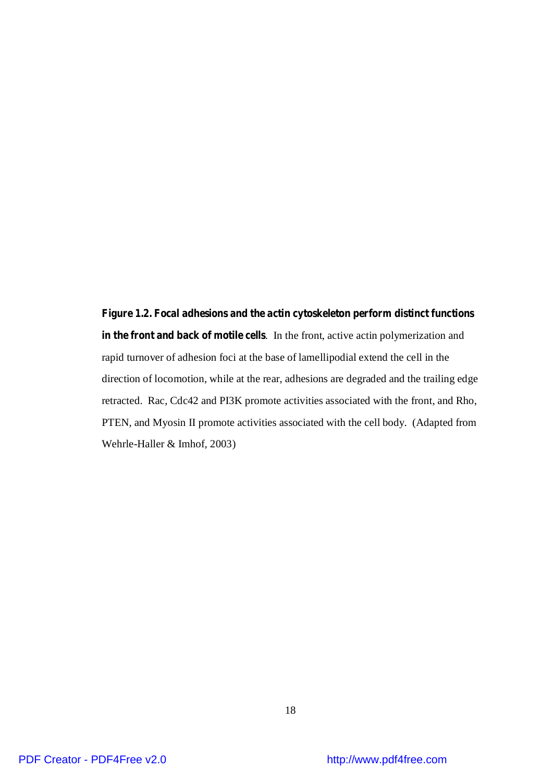**Figure 1.2. Focal adhesions and the actin cytoskeleton perform distinct functions in the front and back of motile cells**. In the front, active actin polymerization and rapid turnover of adhesion foci at the base of lamellipodial extend the cell in the direction of locomotion, while at the rear, adhesions are degraded and the trailing edge retracted. Rac, Cdc42 and PI3K promote activities associated with the front, and Rho, PTEN, and Myosin II promote activities associated with the cell body. (Adapted from Wehrle-Haller & Imhof, 2003)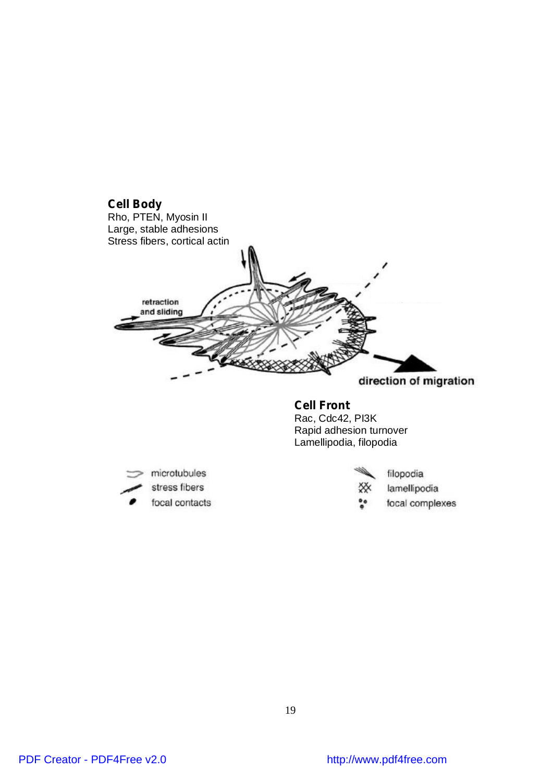



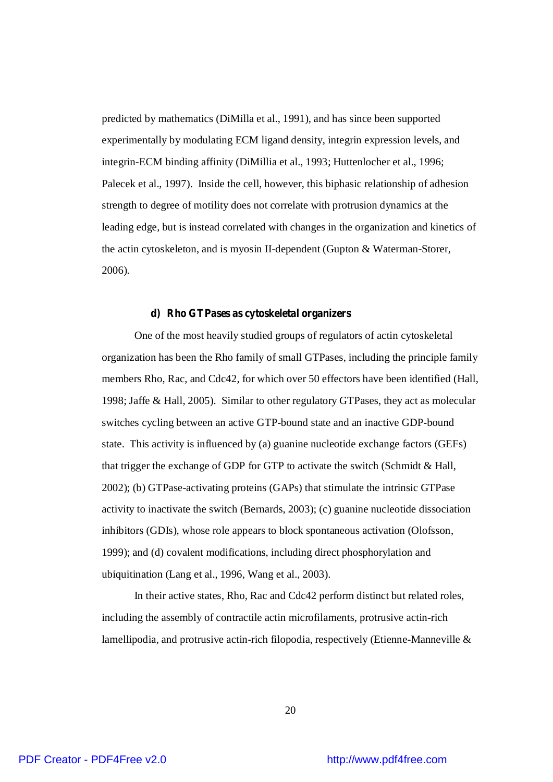predicted by mathematics (DiMilla et al., 1991), and has since been supported experimentally by modulating ECM ligand density, integrin expression levels, and integrin-ECM binding affinity (DiMillia et al., 1993; Huttenlocher et al., 1996; Palecek et al., 1997). Inside the cell, however, this biphasic relationship of adhesion strength to degree of motility does not correlate with protrusion dynamics at the leading edge, but is instead correlated with changes in the organization and kinetics of the actin cytoskeleton, and is myosin II-dependent (Gupton & Waterman-Storer, 2006).

#### **d) Rho GTPases as cytoskeletal organizers**

One of the most heavily studied groups of regulators of actin cytoskeletal organization has been the Rho family of small GTPases, including the principle family members Rho, Rac, and Cdc42, for which over 50 effectors have been identified (Hall, 1998; Jaffe & Hall, 2005). Similar to other regulatory GTPases, they act as molecular switches cycling between an active GTP-bound state and an inactive GDP-bound state. This activity is influenced by (a) guanine nucleotide exchange factors (GEFs) that trigger the exchange of GDP for GTP to activate the switch (Schmidt & Hall, 2002); (b) GTPase-activating proteins (GAPs) that stimulate the intrinsic GTPase activity to inactivate the switch (Bernards, 2003); (c) guanine nucleotide dissociation inhibitors (GDIs), whose role appears to block spontaneous activation (Olofsson, 1999); and (d) covalent modifications, including direct phosphorylation and ubiquitination (Lang et al., 1996, Wang et al., 2003).

In their active states, Rho, Rac and Cdc42 perform distinct but related roles, including the assembly of contractile actin microfilaments, protrusive actin-rich lamellipodia, and protrusive actin-rich filopodia, respectively (Etienne-Manneville &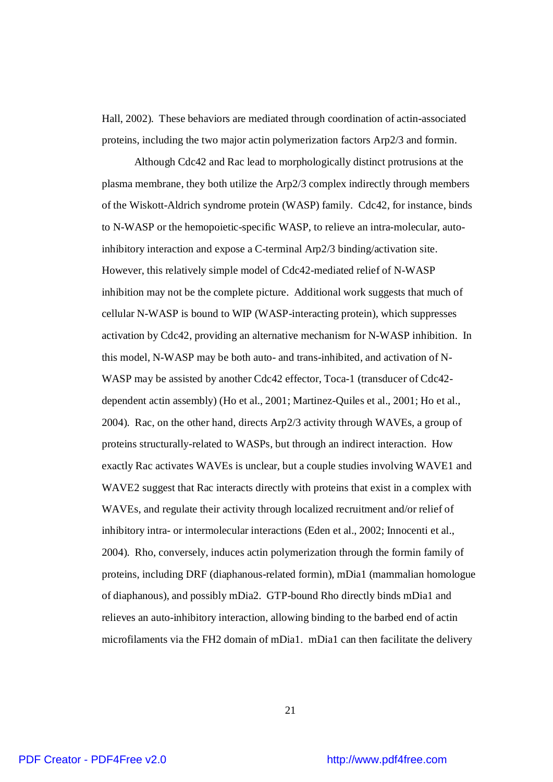Hall, 2002). These behaviors are mediated through coordination of actin-associated proteins, including the two major actin polymerization factors Arp2/3 and formin.

Although Cdc42 and Rac lead to morphologically distinct protrusions at the plasma membrane, they both utilize the Arp2/3 complex indirectly through members of the Wiskott-Aldrich syndrome protein (WASP) family. Cdc42, for instance, binds to N-WASP or the hemopoietic-specific WASP, to relieve an intra-molecular, autoinhibitory interaction and expose a C-terminal Arp2/3 binding/activation site. However, this relatively simple model of Cdc42-mediated relief of N-WASP inhibition may not be the complete picture. Additional work suggests that much of cellular N-WASP is bound to WIP (WASP-interacting protein), which suppresses activation by Cdc42, providing an alternative mechanism for N-WASP inhibition. In this model, N-WASP may be both auto- and trans-inhibited, and activation of N-WASP may be assisted by another Cdc42 effector, Toca-1 (transducer of Cdc42dependent actin assembly) (Ho et al., 2001; Martinez-Quiles et al., 2001; Ho et al., 2004). Rac, on the other hand, directs Arp2/3 activity through WAVEs, a group of proteins structurally-related to WASPs, but through an indirect interaction. How exactly Rac activates WAVEs is unclear, but a couple studies involving WAVE1 and WAVE2 suggest that Rac interacts directly with proteins that exist in a complex with WAVEs, and regulate their activity through localized recruitment and/or relief of inhibitory intra- or intermolecular interactions (Eden et al., 2002; Innocenti et al., 2004). Rho, conversely, induces actin polymerization through the formin family of proteins, including DRF (diaphanous-related formin), mDia1 (mammalian homologue of diaphanous), and possibly mDia2. GTP-bound Rho directly binds mDia1 and relieves an auto-inhibitory interaction, allowing binding to the barbed end of actin microfilaments via the FH2 domain of mDia1. mDia1 can then facilitate the delivery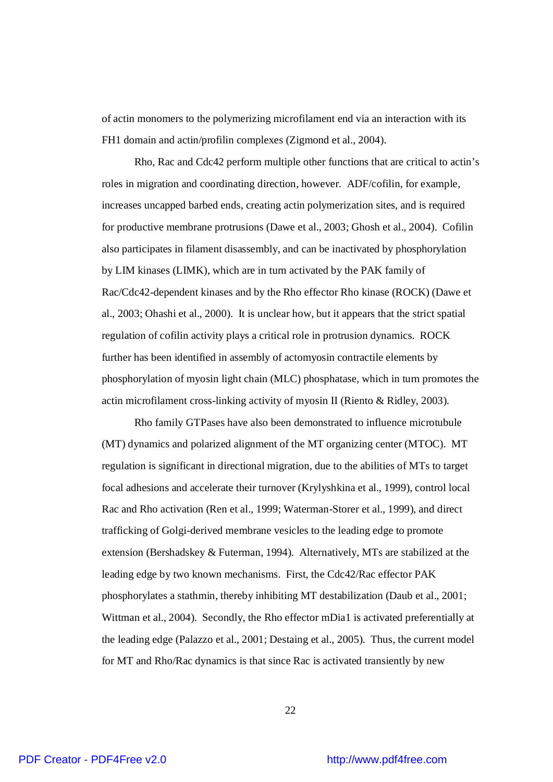of actin monomers to the polymerizing microfilament end via an interaction with its FH1 domain and actin/profilin complexes (Zigmond et al., 2004).

Rho, Rac and Cdc42 perform multiple other functions that are critical to actin's roles in migration and coordinating direction, however. ADF/cofilin, for example, increases uncapped barbed ends, creating actin polymerization sites, and is required for productive membrane protrusions (Dawe et al., 2003; Ghosh et al., 2004). Cofilin also participates in filament disassembly, and can be inactivated by phosphorylation by LIM kinases (LIMK), which are in turn activated by the PAK family of Rac/Cdc42-dependent kinases and by the Rho effector Rho kinase (ROCK) (Dawe et al., 2003; Ohashi et al., 2000). It is unclear how, but it appears that the strict spatial regulation of cofilin activity plays a critical role in protrusion dynamics. ROCK further has been identified in assembly of actomyosin contractile elements by phosphorylation of myosin light chain (MLC) phosphatase, which in turn promotes the actin microfilament cross-linking activity of myosin II (Riento & Ridley, 2003).

Rho family GTPases have also been demonstrated to influence microtubule (MT) dynamics and polarized alignment of the MT organizing center (MTOC). MT regulation is significant in directional migration, due to the abilities of MTs to target focal adhesions and accelerate their turnover (Krylyshkina et al., 1999), control local Rac and Rho activation (Ren et al., 1999; Waterman-Storer et al., 1999), and direct trafficking of Golgi-derived membrane vesicles to the leading edge to promote extension (Bershadskey & Futerman, 1994). Alternatively, MTs are stabilized at the leading edge by two known mechanisms. First, the Cdc42/Rac effector PAK phosphorylates a stathmin, thereby inhibiting MT destabilization (Daub et al., 2001; Wittman et al., 2004). Secondly, the Rho effector mDia1 is activated preferentially at the leading edge (Palazzo et al., 2001; Destaing et al., 2005). Thus, the current model for MT and Rho/Rac dynamics is that since Rac is activated transiently by new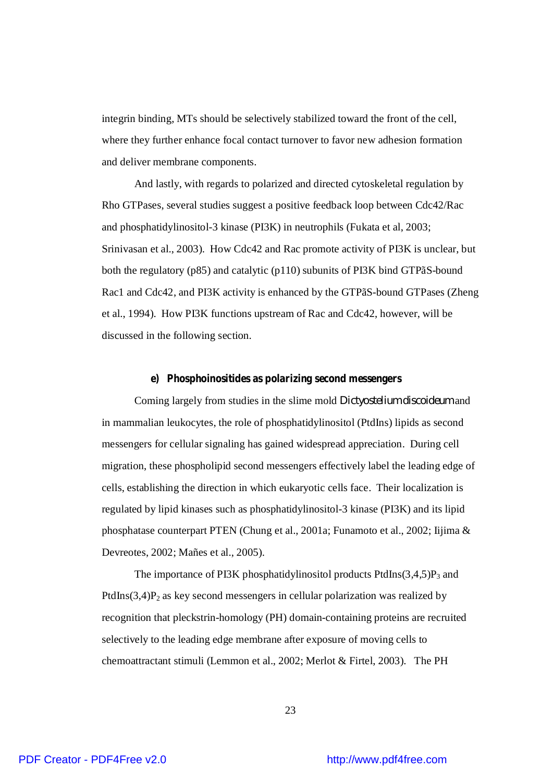integrin binding, MTs should be selectively stabilized toward the front of the cell, where they further enhance focal contact turnover to favor new adhesion formation and deliver membrane components.

And lastly, with regards to polarized and directed cytoskeletal regulation by Rho GTPases, several studies suggest a positive feedback loop between Cdc42/Rac and phosphatidylinositol-3 kinase (PI3K) in neutrophils (Fukata et al, 2003; Srinivasan et al., 2003). How Cdc42 and Rac promote activity of PI3K is unclear, but both the regulatory (p85) and catalytic (p110) subunits of PI3K bind GTPãS-bound Rac1 and Cdc42, and PI3K activity is enhanced by the GTPãS-bound GTPases (Zheng et al., 1994). How PI3K functions upstream of Rac and Cdc42, however, will be discussed in the following section.

#### **e) Phosphoinositides as polarizing second messengers**

Coming largely from studies in the slime mold *Dictyostelium discoideum* and in mammalian leukocytes, the role of phosphatidylinositol (PtdIns) lipids as second messengers for cellular signaling has gained widespread appreciation. During cell migration, these phospholipid second messengers effectively label the leading edge of cells, establishing the direction in which eukaryotic cells face. Their localization is regulated by lipid kinases such as phosphatidylinositol-3 kinase (PI3K) and its lipid phosphatase counterpart PTEN (Chung et al., 2001a; Funamoto et al., 2002; Iijima & Devreotes, 2002; Mañes et al., 2005).

The importance of PI3K phosphatidylinositol products PtdIns $(3,4,5)P_3$  and PtdIns $(3,4)P_2$  as key second messengers in cellular polarization was realized by recognition that pleckstrin-homology (PH) domain-containing proteins are recruited selectively to the leading edge membrane after exposure of moving cells to chemoattractant stimuli (Lemmon et al., 2002; Merlot & Firtel, 2003). The PH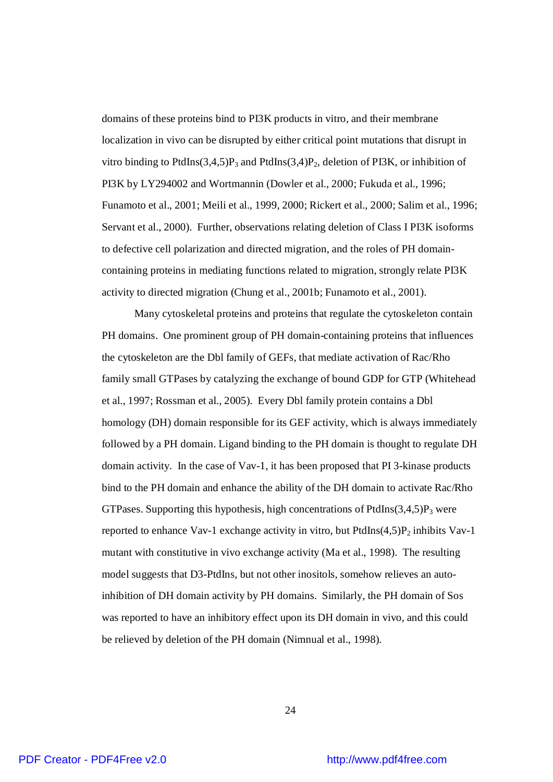domains of these proteins bind to PI3K products in vitro, and their membrane localization in vivo can be disrupted by either critical point mutations that disrupt in vitro binding to PtdIns $(3,4,5)P_3$  and PtdIns $(3,4)P_2$ , deletion of PI3K, or inhibition of PI3K by LY294002 and Wortmannin (Dowler et al., 2000; Fukuda et al., 1996; Funamoto et al., 2001; Meili et al., 1999, 2000; Rickert et al., 2000; Salim et al., 1996; Servant et al., 2000). Further, observations relating deletion of Class I PI3K isoforms to defective cell polarization and directed migration, and the roles of PH domaincontaining proteins in mediating functions related to migration, strongly relate PI3K activity to directed migration (Chung et al., 2001b; Funamoto et al., 2001).

Many cytoskeletal proteins and proteins that regulate the cytoskeleton contain PH domains. One prominent group of PH domain-containing proteins that influences the cytoskeleton are the Dbl family of GEFs, that mediate activation of Rac/Rho family small GTPases by catalyzing the exchange of bound GDP for GTP (Whitehead et al., 1997; Rossman et al., 2005). Every Dbl family protein contains a Dbl homology (DH) domain responsible for its GEF activity, which is always immediately followed by a PH domain. Ligand binding to the PH domain is thought to regulate DH domain activity. In the case of Vav-1, it has been proposed that PI 3-kinase products bind to the PH domain and enhance the ability of the DH domain to activate Rac/Rho GTPases. Supporting this hypothesis, high concentrations of PtdIns $(3,4,5)P_3$  were reported to enhance Vav-1 exchange activity in vitro, but PtdIns $(4,5)P_2$  inhibits Vav-1 mutant with constitutive in vivo exchange activity (Ma et al., 1998). The resulting model suggests that D3-PtdIns, but not other inositols, somehow relieves an autoinhibition of DH domain activity by PH domains. Similarly, the PH domain of Sos was reported to have an inhibitory effect upon its DH domain in vivo, and this could be relieved by deletion of the PH domain (Nimnual et al., 1998).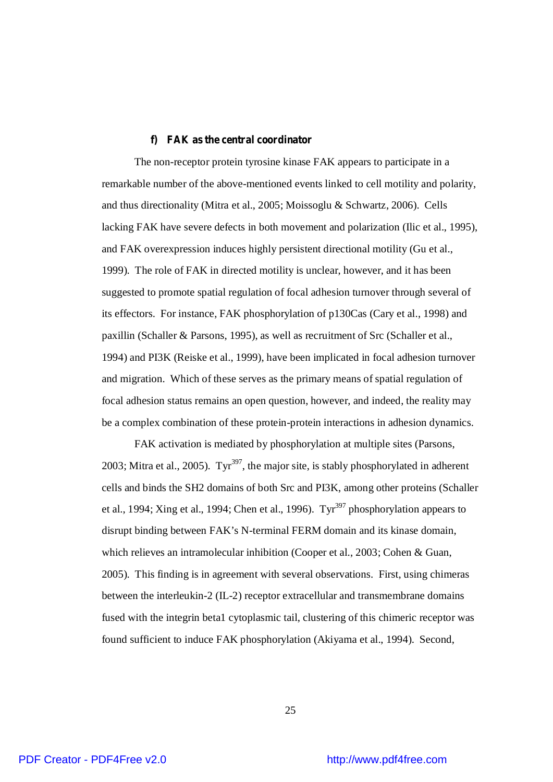#### **f) FAK as the central coordinator**

The non-receptor protein tyrosine kinase FAK appears to participate in a remarkable number of the above-mentioned events linked to cell motility and polarity, and thus directionality (Mitra et al., 2005; Moissoglu & Schwartz, 2006). Cells lacking FAK have severe defects in both movement and polarization (Ilic et al., 1995), and FAK overexpression induces highly persistent directional motility (Gu et al., 1999). The role of FAK in directed motility is unclear, however, and it has been suggested to promote spatial regulation of focal adhesion turnover through several of its effectors. For instance, FAK phosphorylation of p130Cas (Cary et al., 1998) and paxillin (Schaller & Parsons, 1995), as well as recruitment of Src (Schaller et al., 1994) and PI3K (Reiske et al., 1999), have been implicated in focal adhesion turnover and migration. Which of these serves as the primary means of spatial regulation of focal adhesion status remains an open question, however, and indeed, the reality may be a complex combination of these protein-protein interactions in adhesion dynamics.

FAK activation is mediated by phosphorylation at multiple sites (Parsons, 2003; Mitra et al., 2005). Tyr<sup>397</sup>, the major site, is stably phosphorylated in adherent cells and binds the SH2 domains of both Src and PI3K, among other proteins (Schaller et al., 1994; Xing et al., 1994; Chen et al., 1996). Tyr<sup>397</sup> phosphorylation appears to disrupt binding between FAK's N-terminal FERM domain and its kinase domain, which relieves an intramolecular inhibition (Cooper et al., 2003; Cohen & Guan, 2005). This finding is in agreement with several observations. First, using chimeras between the interleukin-2 (IL-2) receptor extracellular and transmembrane domains fused with the integrin beta1 cytoplasmic tail, clustering of this chimeric receptor was found sufficient to induce FAK phosphorylation (Akiyama et al., 1994). Second,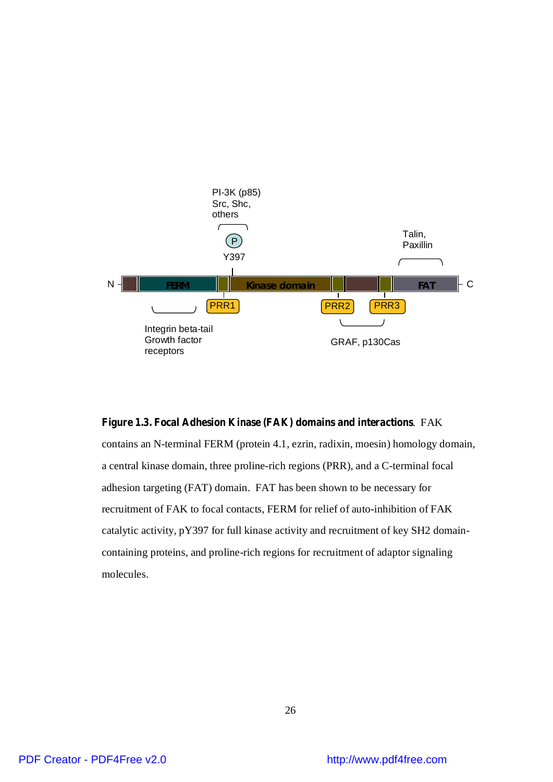

#### **Figure 1.3. Focal Adhesion Kinase (FAK) domains and interactions**. FAK

contains an N-terminal FERM (protein 4.1, ezrin, radixin, moesin) homology domain, a central kinase domain, three proline-rich regions (PRR), and a C-terminal focal adhesion targeting (FAT) domain. FAT has been shown to be necessary for recruitment of FAK to focal contacts, FERM for relief of auto-inhibition of FAK catalytic activity, pY397 for full kinase activity and recruitment of key SH2 domaincontaining proteins, and proline-rich regions for recruitment of adaptor signaling molecules.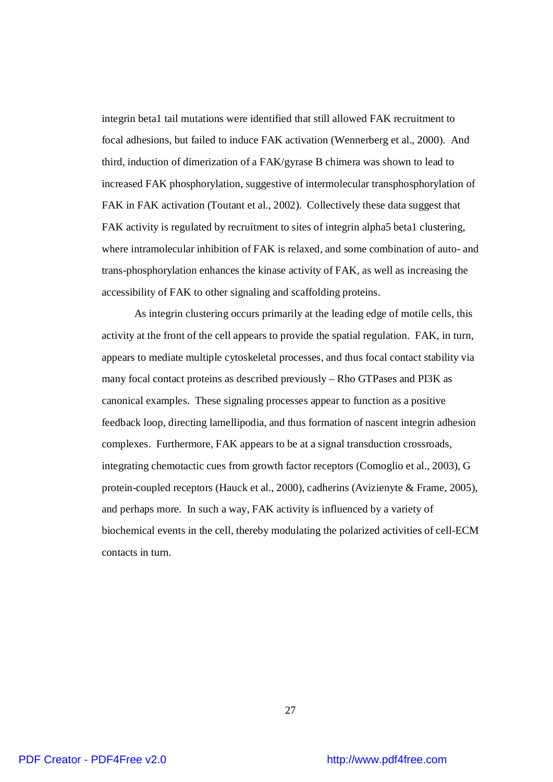integrin beta1 tail mutations were identified that still allowed FAK recruitment to focal adhesions, but failed to induce FAK activation (Wennerberg et al., 2000). And third, induction of dimerization of a FAK/gyrase B chimera was shown to lead to increased FAK phosphorylation, suggestive of intermolecular transphosphorylation of FAK in FAK activation (Toutant et al., 2002). Collectively these data suggest that FAK activity is regulated by recruitment to sites of integrin alpha5 beta1 clustering, where intramolecular inhibition of FAK is relaxed, and some combination of auto- and trans-phosphorylation enhances the kinase activity of FAK, as well as increasing the accessibility of FAK to other signaling and scaffolding proteins.

As integrin clustering occurs primarily at the leading edge of motile cells, this activity at the front of the cell appears to provide the spatial regulation. FAK, in turn, appears to mediate multiple cytoskeletal processes, and thus focal contact stability via many focal contact proteins as described previously – Rho GTPases and PI3K as canonical examples. These signaling processes appear to function as a positive feedback loop, directing lamellipodia, and thus formation of nascent integrin adhesion complexes. Furthermore, FAK appears to be at a signal transduction crossroads, integrating chemotactic cues from growth factor receptors (Comoglio et al., 2003), G protein-coupled receptors (Hauck et al., 2000), cadherins (Avizienyte & Frame, 2005), and perhaps more. In such a way, FAK activity is influenced by a variety of biochemical events in the cell, thereby modulating the polarized activities of cell-ECM contacts in turn.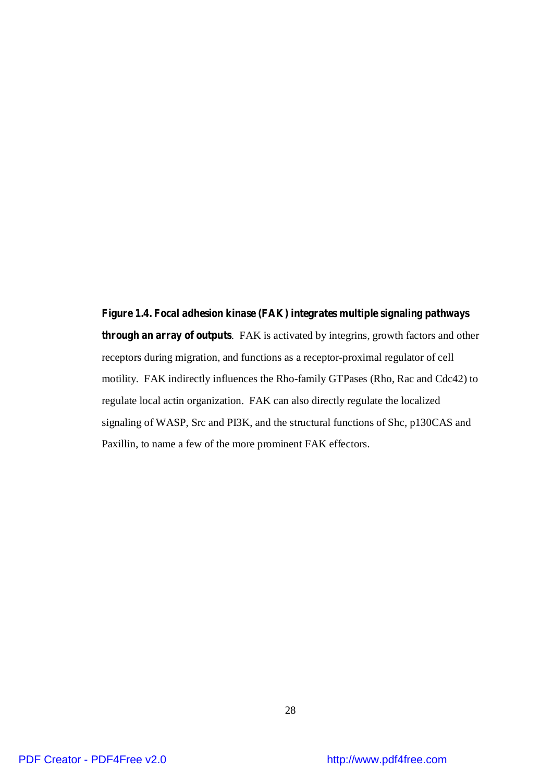**Figure 1.4. Focal adhesion kinase (FAK) integrates multiple signaling pathways through an array of outputs**. FAK is activated by integrins, growth factors and other receptors during migration, and functions as a receptor-proximal regulator of cell motility. FAK indirectly influences the Rho-family GTPases (Rho, Rac and Cdc42) to regulate local actin organization. FAK can also directly regulate the localized signaling of WASP, Src and PI3K, and the structural functions of Shc, p130CAS and Paxillin, to name a few of the more prominent FAK effectors.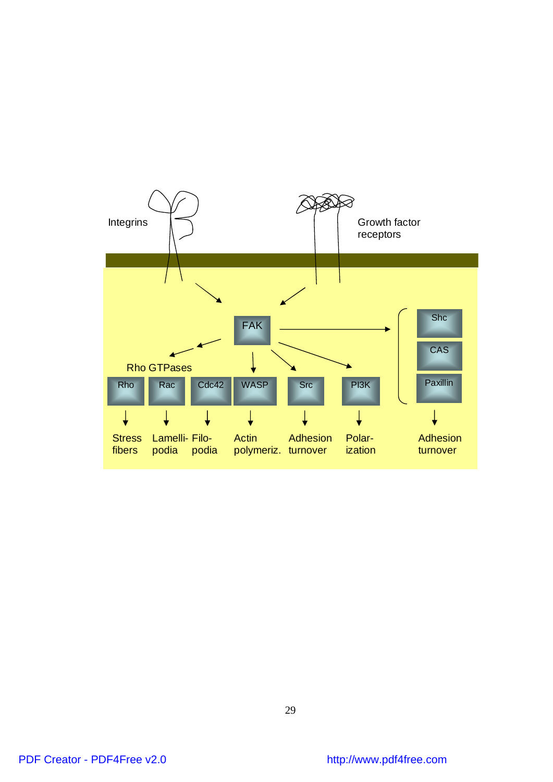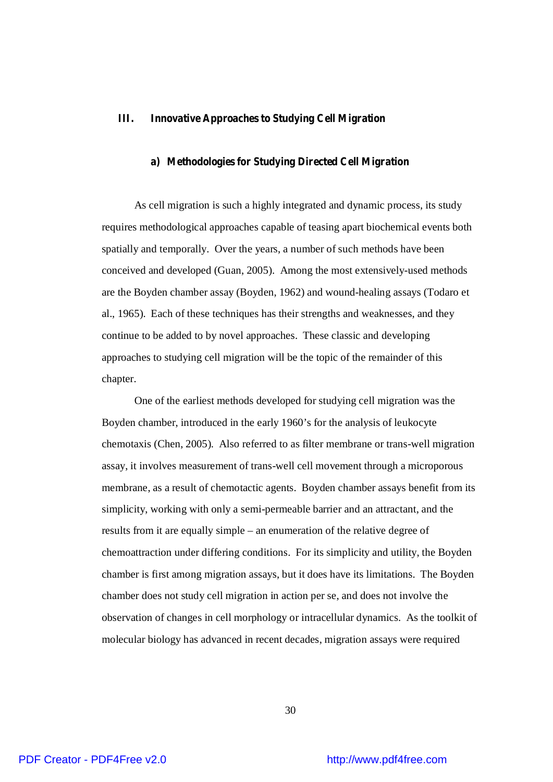## **III. Innovative Approaches to Studying Cell Migration**

#### **a) Methodologies for Studying Directed Cell Migration**

As cell migration is such a highly integrated and dynamic process, its study requires methodological approaches capable of teasing apart biochemical events both spatially and temporally. Over the years, a number of such methods have been conceived and developed (Guan, 2005). Among the most extensively-used methods are the Boyden chamber assay (Boyden, 1962) and wound-healing assays (Todaro et al., 1965). Each of these techniques has their strengths and weaknesses, and they continue to be added to by novel approaches. These classic and developing approaches to studying cell migration will be the topic of the remainder of this chapter.

One of the earliest methods developed for studying cell migration was the Boyden chamber, introduced in the early 1960's for the analysis of leukocyte chemotaxis (Chen, 2005). Also referred to as filter membrane or trans-well migration assay, it involves measurement of trans-well cell movement through a microporous membrane, as a result of chemotactic agents. Boyden chamber assays benefit from its simplicity, working with only a semi-permeable barrier and an attractant, and the results from it are equally simple – an enumeration of the relative degree of chemoattraction under differing conditions. For its simplicity and utility, the Boyden chamber is first among migration assays, but it does have its limitations. The Boyden chamber does not study cell migration in action per se, and does not involve the observation of changes in cell morphology or intracellular dynamics. As the toolkit of molecular biology has advanced in recent decades, migration assays were required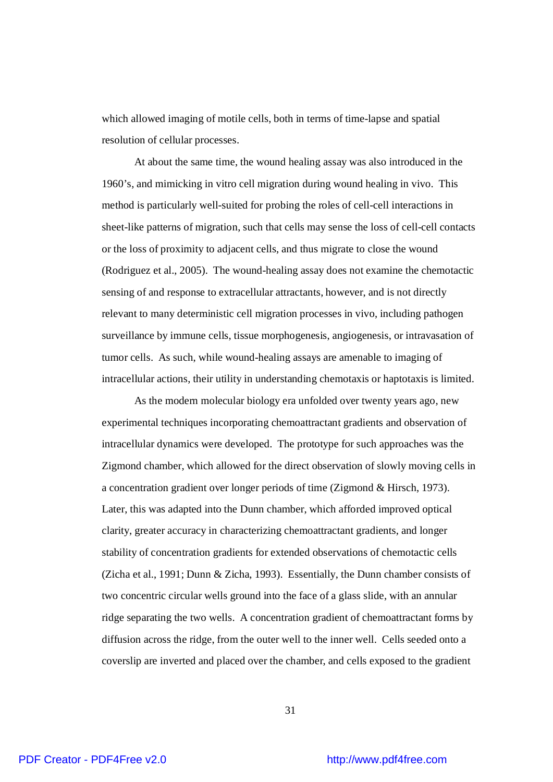which allowed imaging of motile cells, both in terms of time-lapse and spatial resolution of cellular processes.

At about the same time, the wound healing assay was also introduced in the 1960's, and mimicking in vitro cell migration during wound healing in vivo. This method is particularly well-suited for probing the roles of cell-cell interactions in sheet-like patterns of migration, such that cells may sense the loss of cell-cell contacts or the loss of proximity to adjacent cells, and thus migrate to close the wound (Rodriguez et al., 2005). The wound-healing assay does not examine the chemotactic sensing of and response to extracellular attractants, however, and is not directly relevant to many deterministic cell migration processes in vivo, including pathogen surveillance by immune cells, tissue morphogenesis, angiogenesis, or intravasation of tumor cells. As such, while wound-healing assays are amenable to imaging of intracellular actions, their utility in understanding chemotaxis or haptotaxis is limited.

As the modern molecular biology era unfolded over twenty years ago, new experimental techniques incorporating chemoattractant gradients and observation of intracellular dynamics were developed. The prototype for such approaches was the Zigmond chamber, which allowed for the direct observation of slowly moving cells in a concentration gradient over longer periods of time (Zigmond & Hirsch, 1973). Later, this was adapted into the Dunn chamber, which afforded improved optical clarity, greater accuracy in characterizing chemoattractant gradients, and longer stability of concentration gradients for extended observations of chemotactic cells (Zicha et al., 1991; Dunn & Zicha, 1993). Essentially, the Dunn chamber consists of two concentric circular wells ground into the face of a glass slide, with an annular ridge separating the two wells. A concentration gradient of chemoattractant forms by diffusion across the ridge, from the outer well to the inner well. Cells seeded onto a coverslip are inverted and placed over the chamber, and cells exposed to the gradient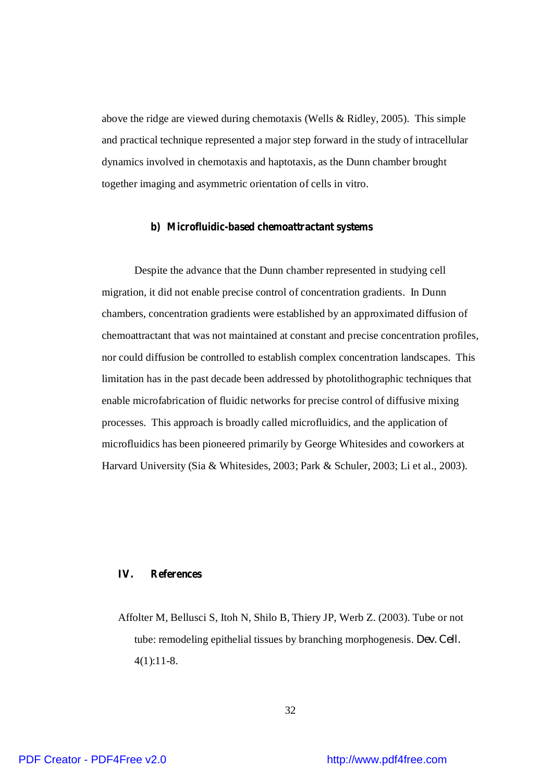above the ridge are viewed during chemotaxis (Wells & Ridley, 2005). This simple and practical technique represented a major step forward in the study of intracellular dynamics involved in chemotaxis and haptotaxis, as the Dunn chamber brought together imaging and asymmetric orientation of cells in vitro.

#### **b) Microfluidic-based chemoattractant systems**

Despite the advance that the Dunn chamber represented in studying cell migration, it did not enable precise control of concentration gradients. In Dunn chambers, concentration gradients were established by an approximated diffusion of chemoattractant that was not maintained at constant and precise concentration profiles, nor could diffusion be controlled to establish complex concentration landscapes. This limitation has in the past decade been addressed by photolithographic techniques that enable microfabrication of fluidic networks for precise control of diffusive mixing processes. This approach is broadly called microfluidics, and the application of microfluidics has been pioneered primarily by George Whitesides and coworkers at Harvard University (Sia & Whitesides, 2003; Park & Schuler, 2003; Li et al., 2003).

# **IV. References**

Affolter M, Bellusci S, Itoh N, Shilo B, Thiery JP, Werb Z. (2003). Tube or not tube: remodeling epithelial tissues by branching morphogenesis. *Dev. Cell.* 4(1):11-8.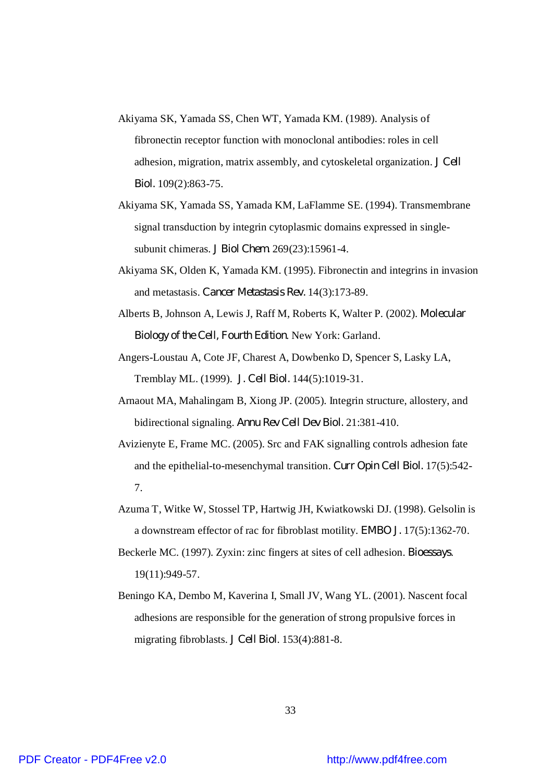- Akiyama SK, Yamada SS, Chen WT, Yamada KM. (1989). Analysis of fibronectin receptor function with monoclonal antibodies: roles in cell adhesion, migration, matrix assembly, and cytoskeletal organization. *J Cell Biol.* 109(2):863-75.
- Akiyama SK, Yamada SS, Yamada KM, LaFlamme SE. (1994). Transmembrane signal transduction by integrin cytoplasmic domains expressed in singlesubunit chimeras. *J Biol Chem.* 269(23):15961-4.
- Akiyama SK, Olden K, Yamada KM. (1995). Fibronectin and integrins in invasion and metastasis. *Cancer Metastasis Rev.* 14(3):173-89.
- Alberts B, Johnson A, Lewis J, Raff M, Roberts K, Walter P. (2002). *Molecular Biology of the Cell, Fourth Edition*. New York: Garland.
- Angers-Loustau A, Cote JF, Charest A, Dowbenko D, Spencer S, Lasky LA, Tremblay ML. (1999). *J. Cell Biol.* 144(5):1019-31.
- Arnaout MA, Mahalingam B, Xiong JP. (2005). Integrin structure, allostery, and bidirectional signaling. *Annu Rev Cell Dev Biol.* 21:381-410.
- Avizienyte E, Frame MC. (2005). Src and FAK signalling controls adhesion fate and the epithelial-to-mesenchymal transition. *Curr Opin Cell Biol.* 17(5):542- 7.
- Azuma T, Witke W, Stossel TP, Hartwig JH, Kwiatkowski DJ. (1998). Gelsolin is a downstream effector of rac for fibroblast motility. *EMBO J.* 17(5):1362-70.
- Beckerle MC. (1997). Zyxin: zinc fingers at sites of cell adhesion. *Bioessays*. 19(11):949-57.
- Beningo KA, Dembo M, Kaverina I, Small JV, Wang YL. (2001). Nascent focal adhesions are responsible for the generation of strong propulsive forces in migrating fibroblasts. *J Cell Biol*. 153(4):881-8.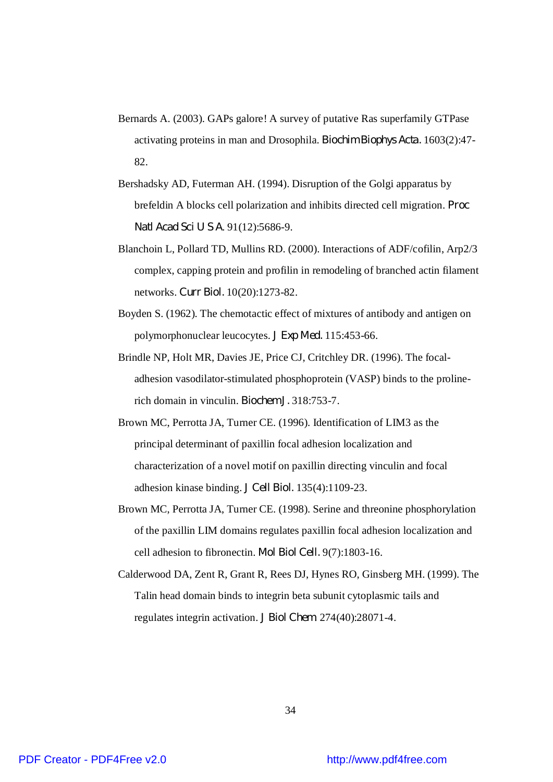- Bernards A. (2003). GAPs galore! A survey of putative Ras superfamily GTPase activating proteins in man and Drosophila. *Biochim Biophys Acta.* 1603(2):47- 82.
- Bershadsky AD, Futerman AH. (1994). Disruption of the Golgi apparatus by brefeldin A blocks cell polarization and inhibits directed cell migration. *Proc Natl Acad Sci U S A*. 91(12):5686-9.
- Blanchoin L, Pollard TD, Mullins RD. (2000). Interactions of ADF/cofilin, Arp2/3 complex, capping protein and profilin in remodeling of branched actin filament networks. *Curr Biol.* 10(20):1273-82.
- Boyden S. (1962). The chemotactic effect of mixtures of antibody and antigen on polymorphonuclear leucocytes. *J Exp Med.* 115:453-66.
- Brindle NP, Holt MR, Davies JE, Price CJ, Critchley DR. (1996). The focaladhesion vasodilator-stimulated phosphoprotein (VASP) binds to the prolinerich domain in vinculin. *Biochem J.* 318:753-7.
- Brown MC, Perrotta JA, Turner CE. (1996). Identification of LIM3 as the principal determinant of paxillin focal adhesion localization and characterization of a novel motif on paxillin directing vinculin and focal adhesion kinase binding. *J Cell Biol.* 135(4):1109-23.
- Brown MC, Perrotta JA, Turner CE. (1998). Serine and threonine phosphorylation of the paxillin LIM domains regulates paxillin focal adhesion localization and cell adhesion to fibronectin. *Mol Biol Cell.* 9(7):1803-16.
- Calderwood DA, Zent R, Grant R, Rees DJ, Hynes RO, Ginsberg MH. (1999). The Talin head domain binds to integrin beta subunit cytoplasmic tails and regulates integrin activation. *J Biol Chem*. 274(40):28071-4.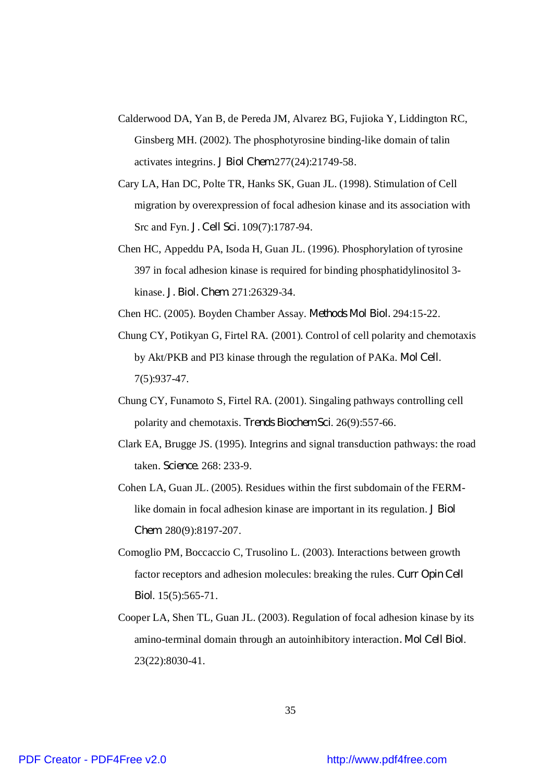- Calderwood DA, Yan B, de Pereda JM, Alvarez BG, Fujioka Y, Liddington RC, Ginsberg MH. (2002). The phosphotyrosine binding-like domain of talin activates integrins. *J Biol Chem.*277(24):21749-58.
- Cary LA, Han DC, Polte TR, Hanks SK, Guan JL. (1998). Stimulation of Cell migration by overexpression of focal adhesion kinase and its association with Src and Fyn. *J. Cell Sci.* 109(7):1787-94.
- Chen HC, Appeddu PA, Isoda H, Guan JL. (1996). Phosphorylation of tyrosine 397 in focal adhesion kinase is required for binding phosphatidylinositol 3 kinase. *J. Biol. Chem.* 271:26329-34.

Chen HC. (2005). Boyden Chamber Assay. *Methods Mol Biol.* 294:15-22.

- Chung CY, Potikyan G, Firtel RA. (2001). Control of cell polarity and chemotaxis by Akt/PKB and PI3 kinase through the regulation of PAKa. *Mol Cell*. 7(5):937-47.
- Chung CY, Funamoto S, Firtel RA. (2001). Singaling pathways controlling cell polarity and chemotaxis. *Trends Biochem Sci*. 26(9):557-66.
- Clark EA, Brugge JS. (1995). Integrins and signal transduction pathways: the road taken. *Science*. 268: 233-9.
- Cohen LA, Guan JL. (2005). Residues within the first subdomain of the FERMlike domain in focal adhesion kinase are important in its regulation. *J Biol Chem*. 280(9):8197-207.
- Comoglio PM, Boccaccio C, Trusolino L. (2003). Interactions between growth factor receptors and adhesion molecules: breaking the rules. *Curr Opin Cell Biol*. 15(5):565-71.
- Cooper LA, Shen TL, Guan JL. (2003). Regulation of focal adhesion kinase by its amino-terminal domain through an autoinhibitory interaction*. Mol Cell Biol*. 23(22):8030-41.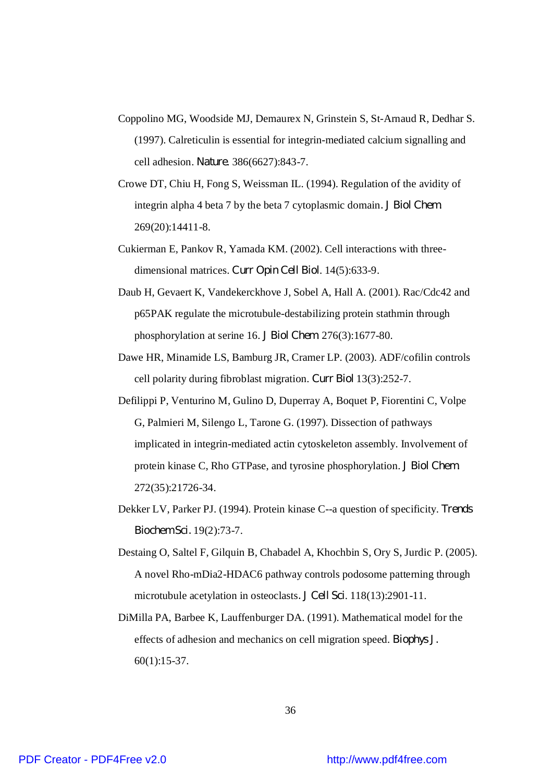- Coppolino MG, Woodside MJ, Demaurex N, Grinstein S, St-Arnaud R, Dedhar S. (1997). Calreticulin is essential for integrin-mediated calcium signalling and cell adhesion. *Nature*. 386(6627):843-7.
- Crowe DT, Chiu H, Fong S, Weissman IL. (1994). Regulation of the avidity of integrin alpha 4 beta 7 by the beta 7 cytoplasmic domain*. J Biol Chem*. 269(20):14411-8.
- Cukierman E, Pankov R, Yamada KM. (2002). Cell interactions with threedimensional matrices. *Curr Opin Cell Biol*. 14(5):633-9.
- Daub H, Gevaert K, Vandekerckhove J, Sobel A, Hall A. (2001). Rac/Cdc42 and p65PAK regulate the microtubule-destabilizing protein stathmin through phosphorylation at serine 16. *J Biol Chem*. 276(3):1677-80.
- Dawe HR, Minamide LS, Bamburg JR, Cramer LP. (2003). ADF/cofilin controls cell polarity during fibroblast migration. *Curr Biol* 13(3):252-7.
- Defilippi P, Venturino M, Gulino D, Duperray A, Boquet P, Fiorentini C, Volpe G, Palmieri M, Silengo L, Tarone G. (1997). Dissection of pathways implicated in integrin-mediated actin cytoskeleton assembly. Involvement of protein kinase C, Rho GTPase, and tyrosine phosphorylation. *J Biol Chem*. 272(35):21726-34.
- Dekker LV, Parker PJ. (1994). Protein kinase C--a question of specificity. *Trends Biochem Sci.* 19(2):73-7.
- Destaing O, Saltel F, Gilquin B, Chabadel A, Khochbin S, Ory S, Jurdic P. (2005). A novel Rho-mDia2-HDAC6 pathway controls podosome patterning through microtubule acetylation in osteoclasts*. J Cell Sci*. 118(13):2901-11.
- DiMilla PA, Barbee K, Lauffenburger DA. (1991). Mathematical model for the effects of adhesion and mechanics on cell migration speed. *Biophys J.* 60(1):15-37.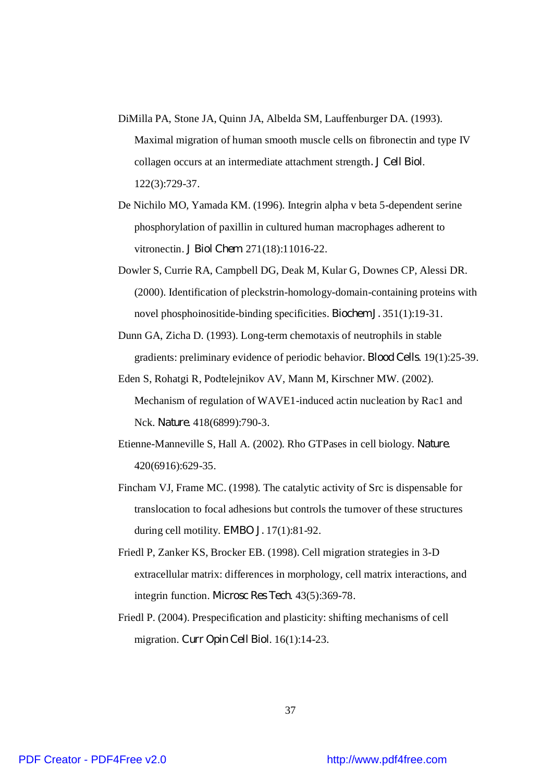- DiMilla PA, Stone JA, Quinn JA, Albelda SM, Lauffenburger DA. (1993). Maximal migration of human smooth muscle cells on fibronectin and type IV collagen occurs at an intermediate attachment strength*. J Cell Biol*. 122(3):729-37.
- De Nichilo MO, Yamada KM. (1996). Integrin alpha v beta 5-dependent serine phosphorylation of paxillin in cultured human macrophages adherent to vitronectin. *J Biol Chem*. 271(18):11016-22.
- Dowler S, Currie RA, Campbell DG, Deak M, Kular G, Downes CP, Alessi DR. (2000). Identification of pleckstrin-homology-domain-containing proteins with novel phosphoinositide-binding specificities. *Biochem J.* 351(1):19-31.
- Dunn GA, Zicha D. (1993). Long-term chemotaxis of neutrophils in stable gradients: preliminary evidence of periodic behavior*. Blood Cells*. 19(1):25-39.
- Eden S, Rohatgi R, Podtelejnikov AV, Mann M, Kirschner MW. (2002). Mechanism of regulation of WAVE1-induced actin nucleation by Rac1 and Nck. *Nature*. 418(6899):790-3.
- Etienne-Manneville S, Hall A. (2002). Rho GTPases in cell biology. *Nature*. 420(6916):629-35.
- Fincham VJ, Frame MC. (1998). The catalytic activity of Src is dispensable for translocation to focal adhesions but controls the turnover of these structures during cell motility. *EMBO J.* 17(1):81-92.
- Friedl P, Zanker KS, Brocker EB. (1998). Cell migration strategies in 3-D extracellular matrix: differences in morphology, cell matrix interactions, and integrin function. *Microsc Res Tech*. 43(5):369-78.
- Friedl P. (2004). Prespecification and plasticity: shifting mechanisms of cell migration. *Curr Opin Cell Biol*. 16(1):14-23.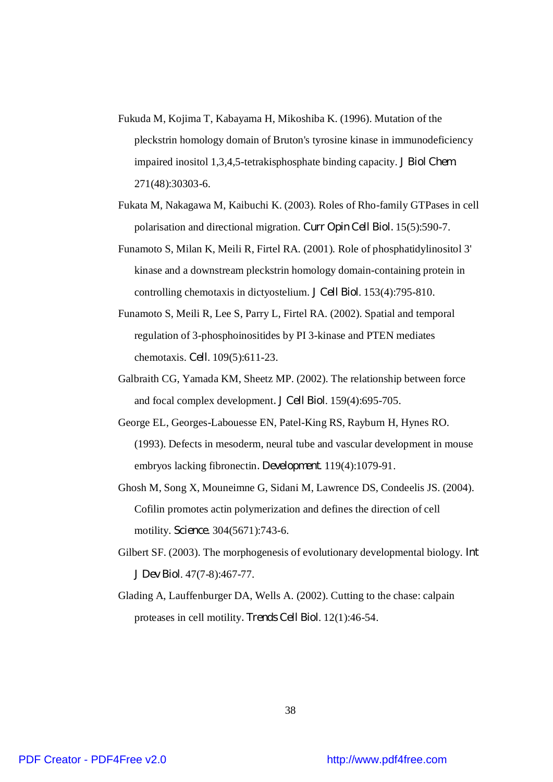- Fukuda M, Kojima T, Kabayama H, Mikoshiba K. (1996). Mutation of the pleckstrin homology domain of Bruton's tyrosine kinase in immunodeficiency impaired inositol 1,3,4,5-tetrakisphosphate binding capacity. *J Biol Chem*. 271(48):30303-6.
- Fukata M, Nakagawa M, Kaibuchi K. (2003). Roles of Rho-family GTPases in cell polarisation and directional migration. *Curr Opin Cell Biol.* 15(5):590-7.
- Funamoto S, Milan K, Meili R, Firtel RA. (2001). Role of phosphatidylinositol 3' kinase and a downstream pleckstrin homology domain-containing protein in controlling chemotaxis in dictyostelium. *J Cell Biol*. 153(4):795-810.
- Funamoto S, Meili R, Lee S, Parry L, Firtel RA. (2002). Spatial and temporal regulation of 3-phosphoinositides by PI 3-kinase and PTEN mediates chemotaxis. *Cell*. 109(5):611-23.
- Galbraith CG, Yamada KM, Sheetz MP. (2002). The relationship between force and focal complex development*. J Cell Biol*. 159(4):695-705.
- George EL, Georges-Labouesse EN, Patel-King RS, Rayburn H, Hynes RO. (1993). Defects in mesoderm, neural tube and vascular development in mouse embryos lacking fibronectin*. Development*. 119(4):1079-91.
- Ghosh M, Song X, Mouneimne G, Sidani M, Lawrence DS, Condeelis JS. (2004). Cofilin promotes actin polymerization and defines the direction of cell motility. *Science*. 304(5671):743-6.
- Gilbert SF. (2003). The morphogenesis of evolutionary developmental biology. *Int J Dev Biol*. 47(7-8):467-77.
- Glading A, Lauffenburger DA, Wells A. (2002). Cutting to the chase: calpain proteases in cell motility*. Trends Cell Biol*. 12(1):46-54.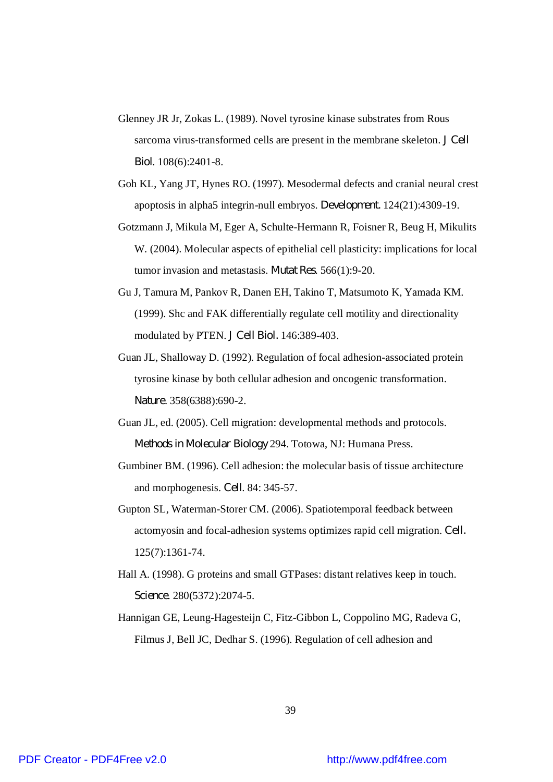- Glenney JR Jr, Zokas L. (1989). Novel tyrosine kinase substrates from Rous sarcoma virus-transformed cells are present in the membrane skeleton. *J Cell Biol*. 108(6):2401-8.
- Goh KL, Yang JT, Hynes RO. (1997). Mesodermal defects and cranial neural crest apoptosis in alpha5 integrin-null embryos. *Development.* 124(21):4309-19.
- Gotzmann J, Mikula M, Eger A, Schulte-Hermann R, Foisner R, Beug H, Mikulits W. (2004). Molecular aspects of epithelial cell plasticity: implications for local tumor invasion and metastasis. *Mutat Res*. 566(1):9-20.
- Gu J, Tamura M, Pankov R, Danen EH, Takino T, Matsumoto K, Yamada KM. (1999). Shc and FAK differentially regulate cell motility and directionality modulated by PTEN. *J Cell Biol.* 146:389-403.
- Guan JL, Shalloway D. (1992). Regulation of focal adhesion-associated protein tyrosine kinase by both cellular adhesion and oncogenic transformation. *Nature*. 358(6388):690-2.
- Guan JL, ed. (2005). Cell migration: developmental methods and protocols. *Methods in Molecular Biology* 294. Totowa, NJ: Humana Press.
- Gumbiner BM. (1996). Cell adhesion: the molecular basis of tissue architecture and morphogenesis. *Cell*. 84: 345-57.
- Gupton SL, Waterman-Storer CM. (2006). Spatiotemporal feedback between actomyosin and focal-adhesion systems optimizes rapid cell migration. *Cell.* 125(7):1361-74.
- Hall A. (1998). G proteins and small GTPases: distant relatives keep in touch. *Science*. 280(5372):2074-5.
- Hannigan GE, Leung-Hagesteijn C, Fitz-Gibbon L, Coppolino MG, Radeva G, Filmus J, Bell JC, Dedhar S. (1996). Regulation of cell adhesion and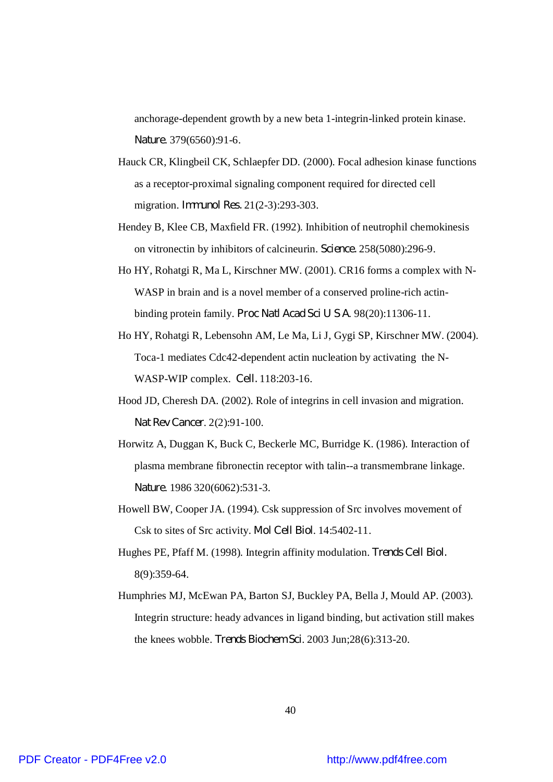anchorage-dependent growth by a new beta 1-integrin-linked protein kinase. *Nature*. 379(6560):91-6.

- Hauck CR, Klingbeil CK, Schlaepfer DD. (2000). Focal adhesion kinase functions as a receptor-proximal signaling component required for directed cell migration. *Immunol Res.* 21(2-3):293-303.
- Hendey B, Klee CB, Maxfield FR. (1992). Inhibition of neutrophil chemokinesis on vitronectin by inhibitors of calcineurin. *Science.* 258(5080):296-9.
- Ho HY, Rohatgi R, Ma L, Kirschner MW. (2001). CR16 forms a complex with N-WASP in brain and is a novel member of a conserved proline-rich actinbinding protein family. *Proc Natl Acad Sci U S A*. 98(20):11306-11.
- Ho HY, Rohatgi R, Lebensohn AM, Le Ma, Li J, Gygi SP, Kirschner MW. (2004). Toca-1 mediates Cdc42-dependent actin nucleation by activating the N-WASP-WIP complex. *Cell.* 118:203-16.
- Hood JD, Cheresh DA. (2002). Role of integrins in cell invasion and migration. *Nat Rev Cancer*. 2(2):91-100.
- Horwitz A, Duggan K, Buck C, Beckerle MC, Burridge K. (1986). Interaction of plasma membrane fibronectin receptor with talin--a transmembrane linkage. *Nature*. 1986 320(6062):531-3.
- Howell BW, Cooper JA. (1994). Csk suppression of Src involves movement of Csk to sites of Src activity. *Mol Cell Biol*. 14:5402-11.
- Hughes PE, Pfaff M. (1998). Integrin affinity modulation. *Trends Cell Biol.* 8(9):359-64.
- Humphries MJ, McEwan PA, Barton SJ, Buckley PA, Bella J, Mould AP. (2003). Integrin structure: heady advances in ligand binding, but activation still makes the knees wobble. *Trends Biochem Sci*. 2003 Jun;28(6):313-20.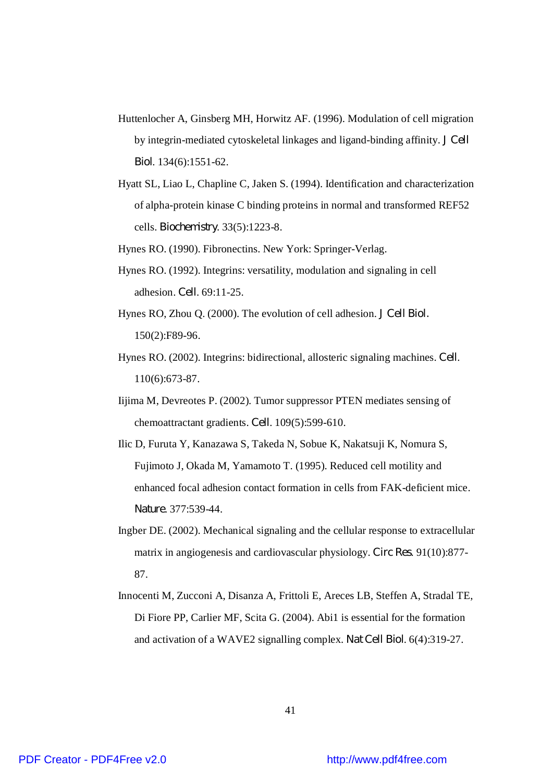- Huttenlocher A, Ginsberg MH, Horwitz AF. (1996). Modulation of cell migration by integrin-mediated cytoskeletal linkages and ligand-binding affinity. *J Cell Biol*. 134(6):1551-62.
- Hyatt SL, Liao L, Chapline C, Jaken S. (1994). Identification and characterization of alpha-protein kinase C binding proteins in normal and transformed REF52 cells. *Biochemistry*. 33(5):1223-8.

Hynes RO. (1990). Fibronectins. New York: Springer-Verlag.

- Hynes RO. (1992). Integrins: versatility, modulation and signaling in cell adhesion. *Cell*. 69:11-25.
- Hynes RO, Zhou Q. (2000). The evolution of cell adhesion. *J Cell Biol.* 150(2):F89-96.
- Hynes RO. (2002). Integrins: bidirectional, allosteric signaling machines. *Cell*. 110(6):673-87.
- Iijima M, Devreotes P. (2002). Tumor suppressor PTEN mediates sensing of chemoattractant gradients. *Cell*. 109(5):599-610.
- Ilic D, Furuta Y, Kanazawa S, Takeda N, Sobue K, Nakatsuji K, Nomura S, Fujimoto J, Okada M, Yamamoto T. (1995). Reduced cell motility and enhanced focal adhesion contact formation in cells from FAK-deficient mice. *Nature*. 377:539-44.
- Ingber DE. (2002). Mechanical signaling and the cellular response to extracellular matrix in angiogenesis and cardiovascular physiology. *Circ Res*. 91(10):877- 87.
- Innocenti M, Zucconi A, Disanza A, Frittoli E, Areces LB, Steffen A, Stradal TE, Di Fiore PP, Carlier MF, Scita G. (2004). Abi1 is essential for the formation and activation of a WAVE2 signalling complex. *Nat Cell Biol*. 6(4):319-27.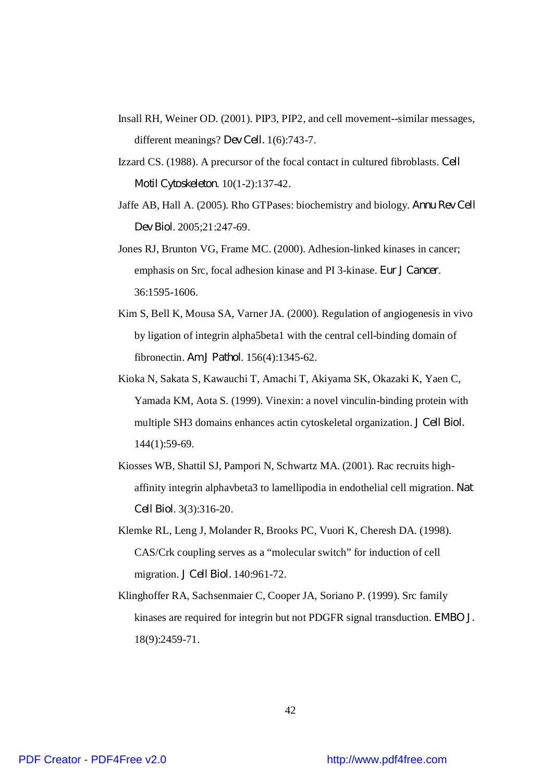- Insall RH, Weiner OD. (2001). PIP3, PIP2, and cell movement--similar messages, different meanings? *Dev Cell.* 1(6):743-7.
- Izzard CS. (1988). A precursor of the focal contact in cultured fibroblasts. *Cell Motil Cytoskeleton*. 10(1-2):137-42.
- Jaffe AB, Hall A. (2005). Rho GTPases: biochemistry and biology. *Annu Rev Cell Dev Biol*. 2005;21:247-69.
- Jones RJ, Brunton VG, Frame MC. (2000). Adhesion-linked kinases in cancer; emphasis on Src, focal adhesion kinase and PI 3-kinase. *Eur J Cancer*. 36:1595-1606.
- Kim S, Bell K, Mousa SA, Varner JA. (2000). Regulation of angiogenesis in vivo by ligation of integrin alpha5beta1 with the central cell-binding domain of fibronectin. *Am J Pathol*. 156(4):1345-62.
- Kioka N, Sakata S, Kawauchi T, Amachi T, Akiyama SK, Okazaki K, Yaen C, Yamada KM, Aota S. (1999). Vinexin: a novel vinculin-binding protein with multiple SH3 domains enhances actin cytoskeletal organization. *J Cell Biol.* 144(1):59-69.
- Kiosses WB, Shattil SJ, Pampori N, Schwartz MA. (2001). Rac recruits highaffinity integrin alphavbeta3 to lamellipodia in endothelial cell migration. *Nat Cell Biol*. 3(3):316-20.
- Klemke RL, Leng J, Molander R, Brooks PC, Vuori K, Cheresh DA. (1998). CAS/Crk coupling serves as a "molecular switch" for induction of cell migration. *J Cell Biol.* 140:961-72.
- Klinghoffer RA, Sachsenmaier C, Cooper JA, Soriano P. (1999). Src family kinases are required for integrin but not PDGFR signal transduction. *EMBO J.* 18(9):2459-71.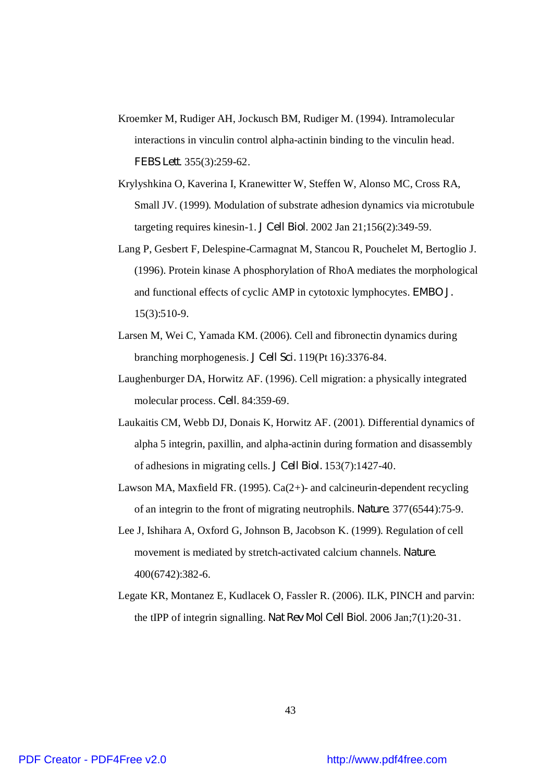- Kroemker M, Rudiger AH, Jockusch BM, Rudiger M. (1994). Intramolecular interactions in vinculin control alpha-actinin binding to the vinculin head. *FEBS Lett*. 355(3):259-62.
- Krylyshkina O, Kaverina I, Kranewitter W, Steffen W, Alonso MC, Cross RA, Small JV. (1999). Modulation of substrate adhesion dynamics via microtubule targeting requires kinesin-1. *J Cell Biol*. 2002 Jan 21;156(2):349-59.
- Lang P, Gesbert F, Delespine-Carmagnat M, Stancou R, Pouchelet M, Bertoglio J. (1996). Protein kinase A phosphorylation of RhoA mediates the morphological and functional effects of cyclic AMP in cytotoxic lymphocytes. *EMBO J.* 15(3):510-9.
- Larsen M, Wei C, Yamada KM. (2006). Cell and fibronectin dynamics during branching morphogenesis. *J Cell Sci.* 119(Pt 16):3376-84.
- Laughenburger DA, Horwitz AF. (1996). Cell migration: a physically integrated molecular process. *Cell*. 84:359-69.
- Laukaitis CM, Webb DJ, Donais K, Horwitz AF. (2001). Differential dynamics of alpha 5 integrin, paxillin, and alpha-actinin during formation and disassembly of adhesions in migrating cells. *J Cell Biol.* 153(7):1427-40.
- Lawson MA, Maxfield FR. (1995). Ca(2+)- and calcineurin-dependent recycling of an integrin to the front of migrating neutrophils. *Nature*. 377(6544):75-9.
- Lee J, Ishihara A, Oxford G, Johnson B, Jacobson K. (1999). Regulation of cell movement is mediated by stretch-activated calcium channels. *Nature*. 400(6742):382-6.
- Legate KR, Montanez E, Kudlacek O, Fassler R. (2006). ILK, PINCH and parvin: the tIPP of integrin signalling. *Nat Rev Mol Cell Biol*. 2006 Jan;7(1):20-31.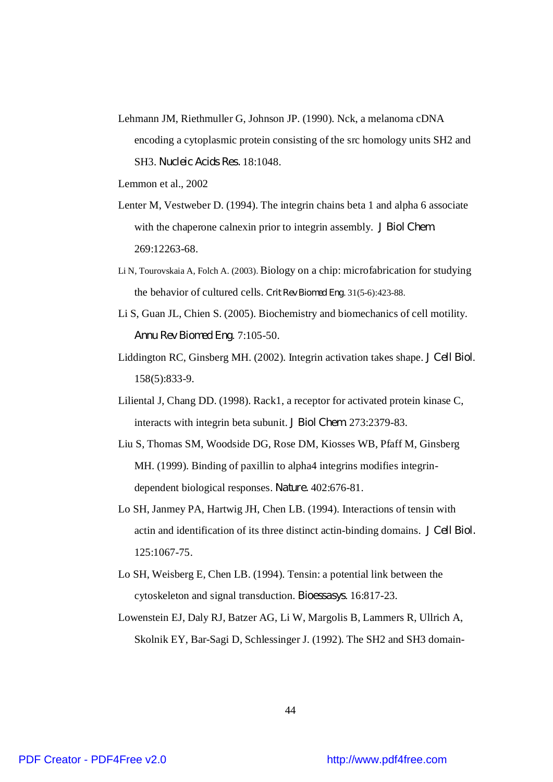Lehmann JM, Riethmuller G, Johnson JP. (1990). Nck, a melanoma cDNA encoding a cytoplasmic protein consisting of the src homology units SH2 and SH3. *Nucleic Acids Res.* 18:1048.

Lemmon et al., 2002

- Lenter M, Vestweber D. (1994). The integrin chains beta 1 and alpha 6 associate with the chaperone calnexin prior to integrin assembly. *J Biol Chem.* 269:12263-68.
- Li N, Tourovskaia A, Folch A. (2003). Biology on a chip: microfabrication for studying the behavior of cultured cells. *Crit Rev Biomed Eng*. 31(5-6):423-88.
- Li S, Guan JL, Chien S. (2005). Biochemistry and biomechanics of cell motility. *Annu Rev Biomed Eng*. 7:105-50.
- Liddington RC, Ginsberg MH. (2002). Integrin activation takes shape. *J Cell Biol*. 158(5):833-9.
- Liliental J, Chang DD. (1998). Rack1, a receptor for activated protein kinase C, interacts with integrin beta subunit. *J Biol Chem.* 273:2379-83.
- Liu S, Thomas SM, Woodside DG, Rose DM, Kiosses WB, Pfaff M, Ginsberg MH. (1999). Binding of paxillin to alpha4 integrins modifies integrindependent biological responses. *Nature.* 402:676-81.
- Lo SH, Janmey PA, Hartwig JH, Chen LB. (1994). Interactions of tensin with actin and identification of its three distinct actin-binding domains. *J Cell Biol.* 125:1067-75.
- Lo SH, Weisberg E, Chen LB. (1994). Tensin: a potential link between the cytoskeleton and signal transduction. *Bioessasys*. 16:817-23.
- Lowenstein EJ, Daly RJ, Batzer AG, Li W, Margolis B, Lammers R, Ullrich A, Skolnik EY, Bar-Sagi D, Schlessinger J. (1992). The SH2 and SH3 domain-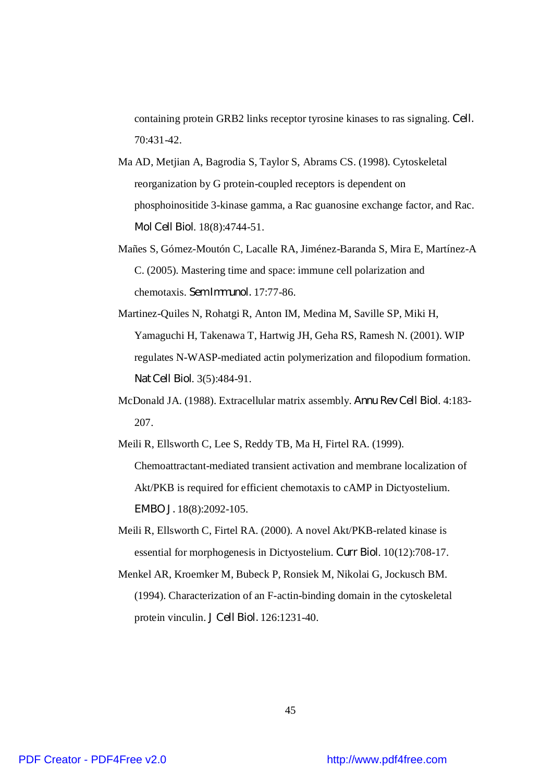containing protein GRB2 links receptor tyrosine kinases to ras signaling. *Cell.* 70:431-42.

- Ma AD, Metjian A, Bagrodia S, Taylor S, Abrams CS. (1998). Cytoskeletal reorganization by G protein-coupled receptors is dependent on phosphoinositide 3-kinase gamma, a Rac guanosine exchange factor, and Rac. *Mol Cell Biol*. 18(8):4744-51.
- Mañes S, Gómez-Moutón C, Lacalle RA, Jiménez-Baranda S, Mira E, Martínez-A C. (2005). Mastering time and space: immune cell polarization and chemotaxis. *Sem Immunol.* 17:77-86.
- Martinez-Quiles N, Rohatgi R, Anton IM, Medina M, Saville SP, Miki H, Yamaguchi H, Takenawa T, Hartwig JH, Geha RS, Ramesh N. (2001). WIP regulates N-WASP-mediated actin polymerization and filopodium formation. *Nat Cell Biol*. 3(5):484-91.
- McDonald JA. (1988). Extracellular matrix assembly. *Annu Rev Cell Biol*. 4:183- 207.

Meili R, Ellsworth C, Lee S, Reddy TB, Ma H, Firtel RA. (1999). Chemoattractant-mediated transient activation and membrane localization of Akt/PKB is required for efficient chemotaxis to cAMP in Dictyostelium. *EMBO J.* 18(8):2092-105.

- Meili R, Ellsworth C, Firtel RA. (2000). A novel Akt/PKB-related kinase is essential for morphogenesis in Dictyostelium. *Curr Biol*. 10(12):708-17.
- Menkel AR, Kroemker M, Bubeck P, Ronsiek M, Nikolai G, Jockusch BM. (1994). Characterization of an F-actin-binding domain in the cytoskeletal protein vinculin. *J Cell Biol.* 126:1231-40.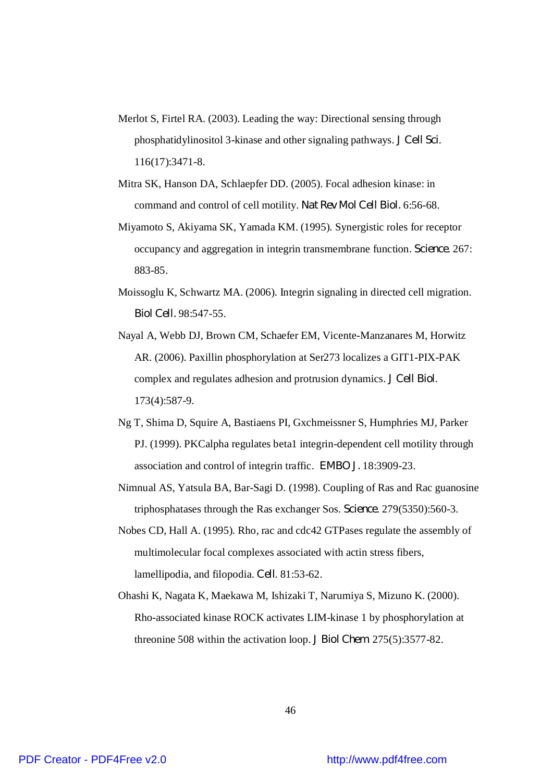- Merlot S, Firtel RA. (2003). Leading the way: Directional sensing through phosphatidylinositol 3-kinase and other signaling pathways. *J Cell Sci*. 116(17):3471-8.
- Mitra SK, Hanson DA, Schlaepfer DD. (2005). Focal adhesion kinase: in command and control of cell motility. *Nat Rev Mol Cell Biol.* 6:56-68.
- Miyamoto S, Akiyama SK, Yamada KM. (1995). Synergistic roles for receptor occupancy and aggregation in integrin transmembrane function. *Science*. 267: 883-85.
- Moissoglu K, Schwartz MA. (2006). Integrin signaling in directed cell migration. *Biol Cell.* 98:547-55.
- Nayal A, Webb DJ, Brown CM, Schaefer EM, Vicente-Manzanares M, Horwitz AR. (2006). Paxillin phosphorylation at Ser273 localizes a GIT1-PIX-PAK complex and regulates adhesion and protrusion dynamics. *J Cell Biol*. 173(4):587-9.
- Ng T, Shima D, Squire A, Bastiaens PI, Gxchmeissner S, Humphries MJ, Parker PJ. (1999). PKCalpha regulates beta1 integrin-dependent cell motility through association and control of integrin traffic. *EMBO J.* 18:3909-23.
- Nimnual AS, Yatsula BA, Bar-Sagi D. (1998). Coupling of Ras and Rac guanosine triphosphatases through the Ras exchanger Sos. *Science*. 279(5350):560-3.
- Nobes CD, Hall A. (1995). Rho, rac and cdc42 GTPases regulate the assembly of multimolecular focal complexes associated with actin stress fibers, lamellipodia, and filopodia. *Cell*. 81:53-62.
- Ohashi K, Nagata K, Maekawa M, Ishizaki T, Narumiya S, Mizuno K. (2000). Rho-associated kinase ROCK activates LIM-kinase 1 by phosphorylation at threonine 508 within the activation loop. *J Biol Chem*. 275(5):3577-82.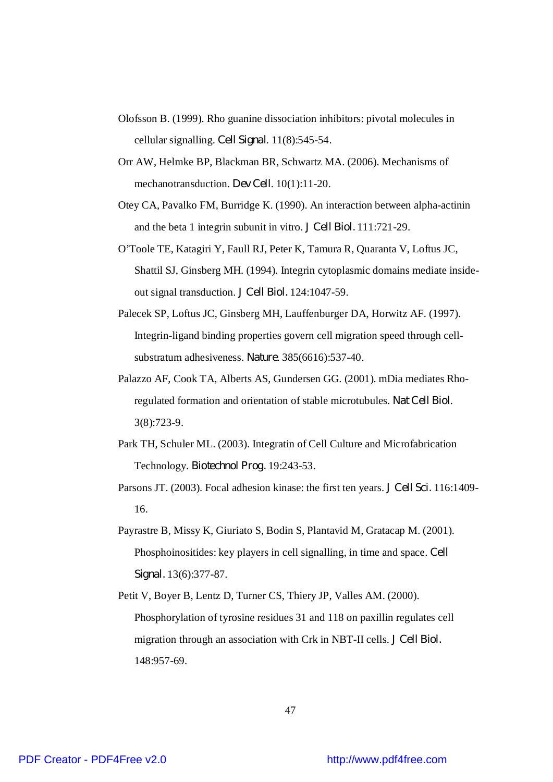- Olofsson B. (1999). Rho guanine dissociation inhibitors: pivotal molecules in cellular signalling. *Cell Signal*. 11(8):545-54.
- Orr AW, Helmke BP, Blackman BR, Schwartz MA. (2006). Mechanisms of mechanotransduction. *Dev Cell*. 10(1):11-20.
- Otey CA, Pavalko FM, Burridge K. (1990). An interaction between alpha-actinin and the beta 1 integrin subunit in vitro. *J Cell Biol.* 111:721-29.
- O'Toole TE, Katagiri Y, Faull RJ, Peter K, Tamura R, Quaranta V, Loftus JC, Shattil SJ, Ginsberg MH. (1994). Integrin cytoplasmic domains mediate insideout signal transduction. *J Cell Biol.* 124:1047-59.
- Palecek SP, Loftus JC, Ginsberg MH, Lauffenburger DA, Horwitz AF. (1997). Integrin-ligand binding properties govern cell migration speed through cellsubstratum adhesiveness. *Nature*. 385(6616):537-40.
- Palazzo AF, Cook TA, Alberts AS, Gundersen GG. (2001). mDia mediates Rhoregulated formation and orientation of stable microtubules. *Nat Cell Biol*. 3(8):723-9.
- Park TH, Schuler ML. (2003). Integratin of Cell Culture and Microfabrication Technology. *Biotechnol Prog.* 19:243-53.
- Parsons JT. (2003). Focal adhesion kinase: the first ten years. *J Cell Sci.* 116:1409- 16.
- Payrastre B, Missy K, Giuriato S, Bodin S, Plantavid M, Gratacap M. (2001). Phosphoinositides: key players in cell signalling, in time and space. *Cell Signal.* 13(6):377-87.
- Petit V, Boyer B, Lentz D, Turner CS, Thiery JP, Valles AM. (2000). Phosphorylation of tyrosine residues 31 and 118 on paxillin regulates cell migration through an association with Crk in NBT-II cells. *J Cell Biol.* 148:957-69.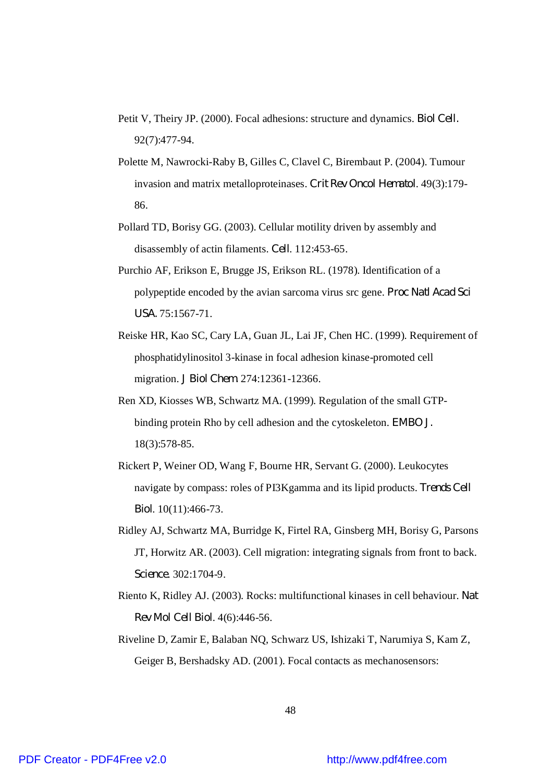- Petit V, Theiry JP. (2000). Focal adhesions: structure and dynamics. *Biol Cell.* 92(7):477-94.
- Polette M, Nawrocki-Raby B, Gilles C, Clavel C, Birembaut P. (2004). Tumour invasion and matrix metalloproteinases. *Crit Rev Oncol Hematol*. 49(3):179- 86.
- Pollard TD, Borisy GG. (2003). Cellular motility driven by assembly and disassembly of actin filaments. *Cell*. 112:453-65.
- Purchio AF, Erikson E, Brugge JS, Erikson RL. (1978). Identification of a polypeptide encoded by the avian sarcoma virus src gene. *Proc Natl Acad Sci USA.* 75:1567-71.
- Reiske HR, Kao SC, Cary LA, Guan JL, Lai JF, Chen HC. (1999). Requirement of phosphatidylinositol 3-kinase in focal adhesion kinase-promoted cell migration. *J Biol Chem.* 274:12361-12366.
- Ren XD, Kiosses WB, Schwartz MA. (1999). Regulation of the small GTPbinding protein Rho by cell adhesion and the cytoskeleton. *EMBO J.* 18(3):578-85.
- Rickert P, Weiner OD, Wang F, Bourne HR, Servant G. (2000). Leukocytes navigate by compass: roles of PI3Kgamma and its lipid products. *Trends Cell Biol*. 10(11):466-73.
- Ridley AJ, Schwartz MA, Burridge K, Firtel RA, Ginsberg MH, Borisy G, Parsons JT, Horwitz AR. (2003). Cell migration: integrating signals from front to back. *Science*. 302:1704-9.
- Riento K, Ridley AJ. (2003). Rocks: multifunctional kinases in cell behaviour. *Nat Rev Mol Cell Biol*. 4(6):446-56.
- Riveline D, Zamir E, Balaban NQ, Schwarz US, Ishizaki T, Narumiya S, Kam Z, Geiger B, Bershadsky AD. (2001). Focal contacts as mechanosensors: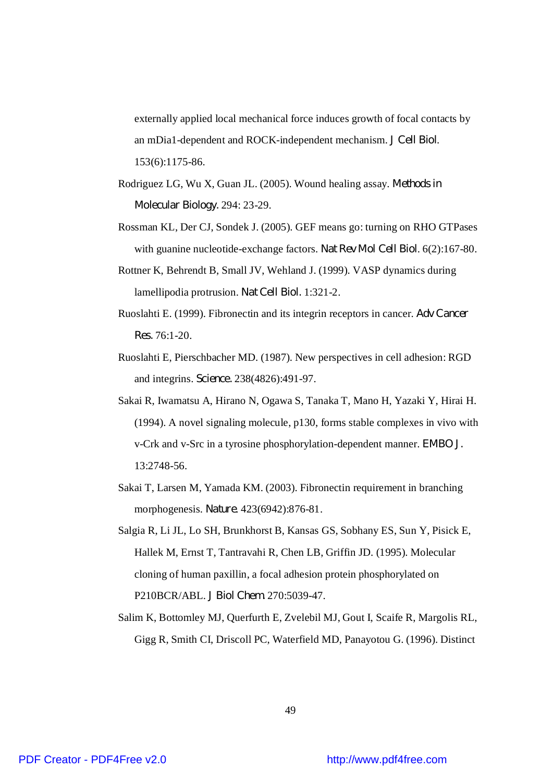externally applied local mechanical force induces growth of focal contacts by an mDia1-dependent and ROCK-independent mechanism. *J Cell Biol*. 153(6):1175-86.

- Rodriguez LG, Wu X, Guan JL. (2005). Wound healing assay. *Methods in Molecular Biology.* 294: 23-29.
- Rossman KL, Der CJ, Sondek J. (2005). GEF means go: turning on RHO GTPases with guanine nucleotide-exchange factors. *Nat Rev Mol Cell Biol*. 6(2):167-80.
- Rottner K, Behrendt B, Small JV, Wehland J. (1999). VASP dynamics during lamellipodia protrusion. *Nat Cell Biol.* 1:321-2.
- Ruoslahti E. (1999). Fibronectin and its integrin receptors in cancer. *Adv Cancer Res.* 76:1-20.
- Ruoslahti E, Pierschbacher MD. (1987). New perspectives in cell adhesion: RGD and integrins. *Science.* 238(4826):491-97.
- Sakai R, Iwamatsu A, Hirano N, Ogawa S, Tanaka T, Mano H, Yazaki Y, Hirai H. (1994). A novel signaling molecule, p130, forms stable complexes in vivo with v-Crk and v-Src in a tyrosine phosphorylation-dependent manner. *EMBO J.* 13:2748-56.
- Sakai T, Larsen M, Yamada KM. (2003). Fibronectin requirement in branching morphogenesis. *Nature*. 423(6942):876-81.
- Salgia R, Li JL, Lo SH, Brunkhorst B, Kansas GS, Sobhany ES, Sun Y, Pisick E, Hallek M, Ernst T, Tantravahi R, Chen LB, Griffin JD. (1995). Molecular cloning of human paxillin, a focal adhesion protein phosphorylated on P210BCR/ABL. *J Biol Chem.* 270:5039-47.
- Salim K, Bottomley MJ, Querfurth E, Zvelebil MJ, Gout I, Scaife R, Margolis RL, Gigg R, Smith CI, Driscoll PC, Waterfield MD, Panayotou G. (1996). Distinct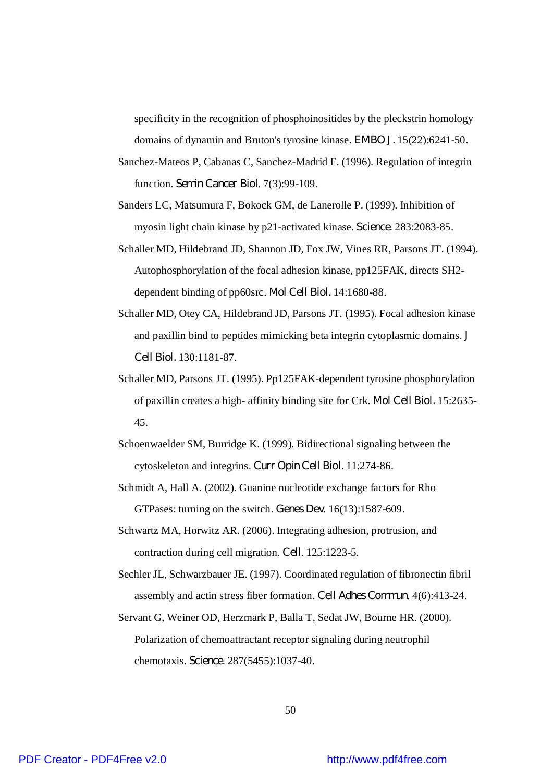specificity in the recognition of phosphoinositides by the pleckstrin homology domains of dynamin and Bruton's tyrosine kinase. *EMBO J.* 15(22):6241-50.

- Sanchez-Mateos P, Cabanas C, Sanchez-Madrid F. (1996). Regulation of integrin function. *Semin Cancer Biol*. 7(3):99-109.
- Sanders LC, Matsumura F, Bokock GM, de Lanerolle P. (1999). Inhibition of myosin light chain kinase by p21-activated kinase. *Science*. 283:2083-85.
- Schaller MD, Hildebrand JD, Shannon JD, Fox JW, Vines RR, Parsons JT. (1994). Autophosphorylation of the focal adhesion kinase, pp125FAK, directs SH2 dependent binding of pp60src. *Mol Cell Biol.* 14:1680-88.
- Schaller MD, Otey CA, Hildebrand JD, Parsons JT. (1995). Focal adhesion kinase and paxillin bind to peptides mimicking beta integrin cytoplasmic domains. *J Cell Biol.* 130:1181-87.
- Schaller MD, Parsons JT. (1995). Pp125FAK-dependent tyrosine phosphorylation of paxillin creates a high- affinity binding site for Crk. *Mol Cell Biol.* 15:2635- 45.
- Schoenwaelder SM, Burridge K. (1999). Bidirectional signaling between the cytoskeleton and integrins. *Curr Opin Cell Biol.* 11:274-86.
- Schmidt A, Hall A. (2002). Guanine nucleotide exchange factors for Rho GTPases: turning on the switch. *Genes Dev*. 16(13):1587-609.
- Schwartz MA, Horwitz AR. (2006). Integrating adhesion, protrusion, and contraction during cell migration. *Cell*. 125:1223-5.
- Sechler JL, Schwarzbauer JE. (1997). Coordinated regulation of fibronectin fibril assembly and actin stress fiber formation. *Cell Adhes Commun*. 4(6):413-24.
- Servant G, Weiner OD, Herzmark P, Balla T, Sedat JW, Bourne HR. (2000). Polarization of chemoattractant receptor signaling during neutrophil chemotaxis. *Science*. 287(5455):1037-40.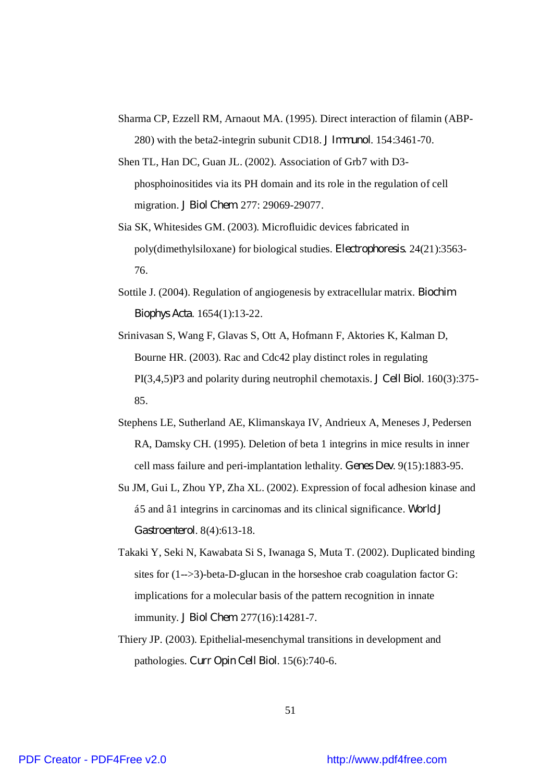- Sharma CP, Ezzell RM, Arnaout MA. (1995). Direct interaction of filamin (ABP-280) with the beta2-integrin subunit CD18. *J Immunol*. 154:3461-70.
- Shen TL, Han DC, Guan JL. (2002). Association of Grb7 with D3 phosphoinositides via its PH domain and its role in the regulation of cell migration. *J Biol Chem.* 277: 29069-29077.
- Sia SK, Whitesides GM. (2003). Microfluidic devices fabricated in poly(dimethylsiloxane) for biological studies. *Electrophoresis*. 24(21):3563- 76.
- Sottile J. (2004). Regulation of angiogenesis by extracellular matrix. *Biochim Biophys Acta*. 1654(1):13-22.
- Srinivasan S, Wang F, Glavas S, Ott A, Hofmann F, Aktories K, Kalman D, Bourne HR. (2003). Rac and Cdc42 play distinct roles in regulating PI(3,4,5)P3 and polarity during neutrophil chemotaxis. *J Cell Biol*. 160(3):375- 85.
- Stephens LE, Sutherland AE, Klimanskaya IV, Andrieux A, Meneses J, Pedersen RA, Damsky CH. (1995). Deletion of beta 1 integrins in mice results in inner cell mass failure and peri-implantation lethality. *Genes Dev*. 9(15):1883-95.
- Su JM, Gui L, Zhou YP, Zha XL. (2002). Expression of focal adhesion kinase and á5 and â1 integrins in carcinomas and its clinical significance. *World J Gastroenterol*. 8(4):613-18.
- Takaki Y, Seki N, Kawabata Si S, Iwanaga S, Muta T. (2002). Duplicated binding sites for  $(1-->3)$ -beta-D-glucan in the horseshoe crab coagulation factor G: implications for a molecular basis of the pattern recognition in innate immunity. *J Biol Chem*. 277(16):14281-7.
- Thiery JP. (2003). Epithelial-mesenchymal transitions in development and pathologies. *Curr Opin Cell Biol*. 15(6):740-6.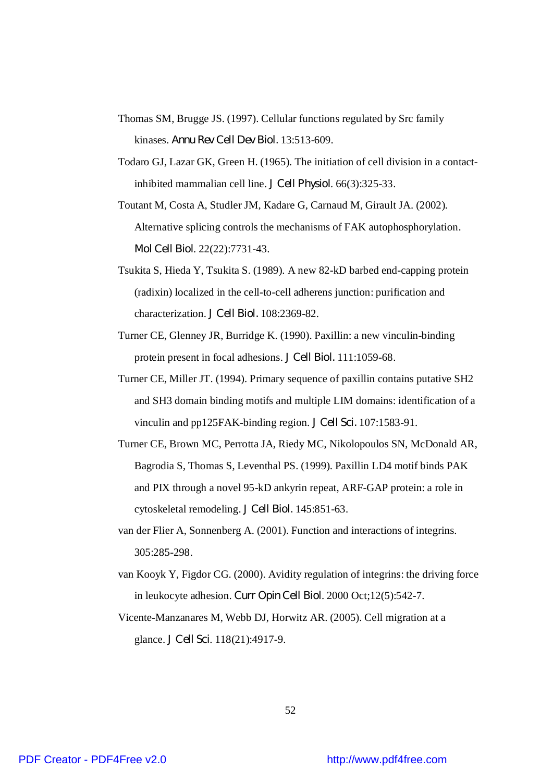- Thomas SM, Brugge JS. (1997). Cellular functions regulated by Src family kinases. *Annu Rev Cell Dev Biol.* 13:513-609.
- Todaro GJ, Lazar GK, Green H. (1965). The initiation of cell division in a contactinhibited mammalian cell line. *J Cell Physiol*. 66(3):325-33.
- Toutant M, Costa A, Studler JM, Kadare G, Carnaud M, Girault JA. (2002). Alternative splicing controls the mechanisms of FAK autophosphorylation. *Mol Cell Biol*. 22(22):7731-43.
- Tsukita S, Hieda Y, Tsukita S. (1989). A new 82-kD barbed end-capping protein (radixin) localized in the cell-to-cell adherens junction: purification and characterization. *J Cell Biol.* 108:2369-82.
- Turner CE, Glenney JR, Burridge K. (1990). Paxillin: a new vinculin-binding protein present in focal adhesions. *J Cell Biol.* 111:1059-68.
- Turner CE, Miller JT. (1994). Primary sequence of paxillin contains putative SH2 and SH3 domain binding motifs and multiple LIM domains: identification of a vinculin and pp125FAK-binding region. *J Cell Sci.* 107:1583-91.
- Turner CE, Brown MC, Perrotta JA, Riedy MC, Nikolopoulos SN, McDonald AR, Bagrodia S, Thomas S, Leventhal PS. (1999). Paxillin LD4 motif binds PAK and PIX through a novel 95-kD ankyrin repeat, ARF-GAP protein: a role in cytoskeletal remodeling. *J Cell Biol.* 145:851-63.
- van der Flier A, Sonnenberg A. (2001). Function and interactions of integrins. 305:285-298.
- van Kooyk Y, Figdor CG. (2000). Avidity regulation of integrins: the driving force in leukocyte adhesion. *Curr Opin Cell Biol*. 2000 Oct;12(5):542-7.
- Vicente-Manzanares M, Webb DJ, Horwitz AR. (2005). Cell migration at a glance. *J Cell Sci*. 118(21):4917-9.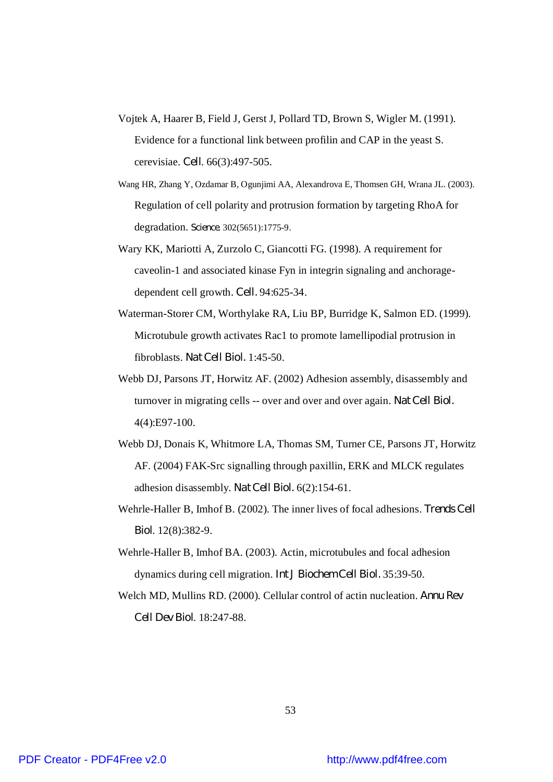- Vojtek A, Haarer B, Field J, Gerst J, Pollard TD, Brown S, Wigler M. (1991). Evidence for a functional link between profilin and CAP in the yeast S. cerevisiae. *Cell*. 66(3):497-505.
- Wang HR, Zhang Y, Ozdamar B, Ogunjimi AA, Alexandrova E, Thomsen GH, Wrana JL. (2003). Regulation of cell polarity and protrusion formation by targeting RhoA for degradation. *Science*. 302(5651):1775-9.
- Wary KK, Mariotti A, Zurzolo C, Giancotti FG. (1998). A requirement for caveolin-1 and associated kinase Fyn in integrin signaling and anchoragedependent cell growth. *Cell.* 94:625-34.
- Waterman-Storer CM, Worthylake RA, Liu BP, Burridge K, Salmon ED. (1999). Microtubule growth activates Rac1 to promote lamellipodial protrusion in fibroblasts. *Nat Cell Biol.* 1:45-50.
- Webb DJ, Parsons JT, Horwitz AF. (2002) Adhesion assembly, disassembly and turnover in migrating cells -- over and over and over again. *Nat Cell Biol.* 4(4):E97-100.
- Webb DJ, Donais K, Whitmore LA, Thomas SM, Turner CE, Parsons JT, Horwitz AF. (2004) FAK-Src signalling through paxillin, ERK and MLCK regulates adhesion disassembly. *Nat Cell Biol.* 6(2):154-61.
- Wehrle-Haller B, Imhof B. (2002). The inner lives of focal adhesions. *Trends Cell Biol*. 12(8):382-9.
- Wehrle-Haller B, Imhof BA. (2003). Actin, microtubules and focal adhesion dynamics during cell migration. *Int J Biochem Cell Biol.* 35:39-50.
- Welch MD, Mullins RD. (2000). Cellular control of actin nucleation. *Annu Rev Cell Dev Biol*. 18:247-88.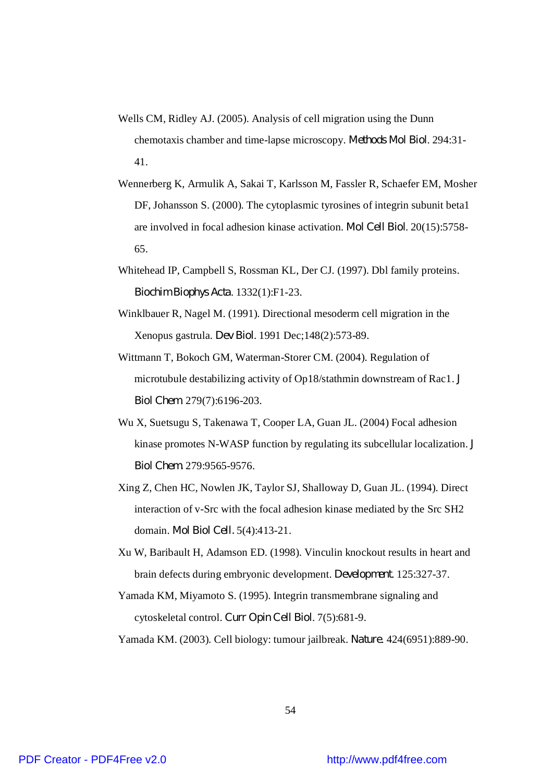- Wells CM, Ridley AJ. (2005). Analysis of cell migration using the Dunn chemotaxis chamber and time-lapse microscopy. *Methods Mol Biol*. 294:31- 41.
- Wennerberg K, Armulik A, Sakai T, Karlsson M, Fassler R, Schaefer EM, Mosher DF, Johansson S. (2000). The cytoplasmic tyrosines of integrin subunit beta1 are involved in focal adhesion kinase activation. *Mol Cell Biol*. 20(15):5758- 65.
- Whitehead IP, Campbell S, Rossman KL, Der CJ. (1997). Dbl family proteins. *Biochim Biophys Acta*. 1332(1):F1-23.
- Winklbauer R, Nagel M. (1991). Directional mesoderm cell migration in the Xenopus gastrula. *Dev Biol*. 1991 Dec;148(2):573-89.
- Wittmann T, Bokoch GM, Waterman-Storer CM. (2004). Regulation of microtubule destabilizing activity of Op18/stathmin downstream of Rac1. *J Biol Chem*. 279(7):6196-203.
- Wu X, Suetsugu S, Takenawa T, Cooper LA, Guan JL. (2004) Focal adhesion kinase promotes N-WASP function by regulating its subcellular localization. *J Biol Chem.* 279:9565-9576.
- Xing Z, Chen HC, Nowlen JK, Taylor SJ, Shalloway D, Guan JL. (1994). Direct interaction of v-Src with the focal adhesion kinase mediated by the Src SH2 domain. *Mol Biol Cell.* 5(4):413-21.
- Xu W, Baribault H, Adamson ED. (1998). Vinculin knockout results in heart and brain defects during embryonic development. *Development*. 125:327-37.
- Yamada KM, Miyamoto S. (1995). Integrin transmembrane signaling and cytoskeletal control. *Curr Opin Cell Biol*. 7(5):681-9.

Yamada KM. (2003). Cell biology: tumour jailbreak. *Nature*. 424(6951):889-90.